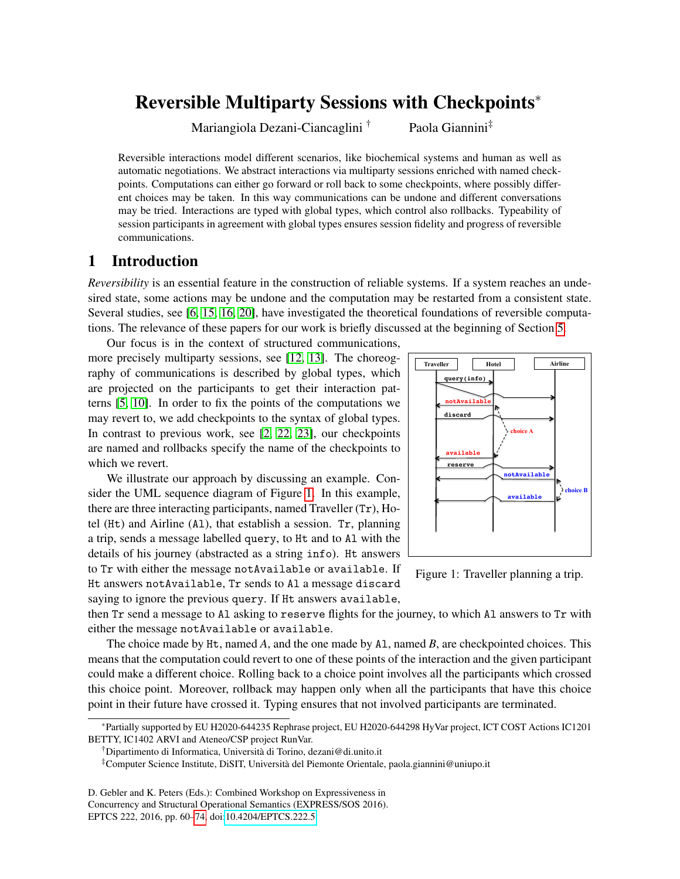# <span id="page-0-0"></span>Reversible Multiparty Sessions with Checkpoints<sup>∗</sup>

Mariangiola Dezani-Ciancaglini<sup>†</sup> Paola Giannini<sup>‡</sup>

Reversible interactions model different scenarios, like biochemical systems and human as well as automatic negotiations. We abstract interactions via multiparty sessions enriched with named checkpoints. Computations can either go forward or roll back to some checkpoints, where possibly different choices may be taken. In this way communications can be undone and different conversations may be tried. Interactions are typed with global types, which control also rollbacks. Typeability of session participants in agreement with global types ensures session fidelity and progress of reversible communications.

# 1 Introduction

*Reversibility* is an essential feature in the construction of reliable systems. If a system reaches an undesired state, some actions may be undone and the computation may be restarted from a consistent state. Several studies, see [\[6,](#page-14-1) [15,](#page-14-2) [16,](#page-14-3) [20\]](#page-14-4), have investigated the theoretical foundations of reversible computations. The relevance of these papers for our work is briefly discussed at the beginning of Section [5.](#page-12-0)

Our focus is in the context of structured communications, more precisely multiparty sessions, see [\[12,](#page-14-5) [13\]](#page-14-6). The choreography of communications is described by global types, which are projected on the participants to get their interaction patterns [\[5,](#page-14-7) [10\]](#page-14-8). In order to fix the points of the computations we may revert to, we add checkpoints to the syntax of global types. In contrast to previous work, see [\[2,](#page-13-0) [22,](#page-14-9) [23\]](#page-14-10), our checkpoints are named and rollbacks specify the name of the checkpoints to which we revert.

We illustrate our approach by discussing an example. Consider the UML sequence diagram of Figure 1. In this example, there are three interacting participants, named Traveller (Tr), Hotel (Ht) and Airline (Al), that establish a session. Tr, planning a trip, sends a message labelled query, to Ht and to Al with the details of his journey (abstracted as a string info). Ht answers to Tr with either the message notAvailable or available. If Ht answers notAvailable, Tr sends to Al a message discard saying to ignore the previous query. If Ht answers available,



Figure 1: Traveller planning a trip.

then Tr send a message to Al asking to reserve flights for the journey, to which Al answers to Tr with either the message notAvailable or available.

The choice made by Ht, named *A*, and the one made by Al, named *B*, are checkpointed choices. This means that the computation could revert to one of these points of the interaction and the given participant could make a different choice. Rolling back to a choice point involves all the participants which crossed this choice point. Moreover, rollback may happen only when all the participants that have this choice point in their future have crossed it. Typing ensures that not involved participants are terminated.

<sup>∗</sup>Partially supported by EU H2020-644235 Rephrase project, EU H2020-644298 HyVar project, ICT COST Actions IC1201 BETTY, IC1402 ARVI and Ateneo/CSP project RunVar.

<sup>†</sup>Dipartimento di Informatica, Università di Torino, dezani@di.unito.it

<sup>‡</sup>Computer Science Institute, DiSIT, Università del Piemonte Orientale, paola.giannini@uniupo.it

D. Gebler and K. Peters (Eds.): Combined Workshop on Expressiveness in Concurrency and Structural Operational Semantics (EXPRESS/SOS 2016). EPTCS 222, 2016, pp. 60[–74,](#page-14-0) doi[:10.4204/EPTCS.222.5](http://dx.doi.org/10.4204/EPTCS.222.5)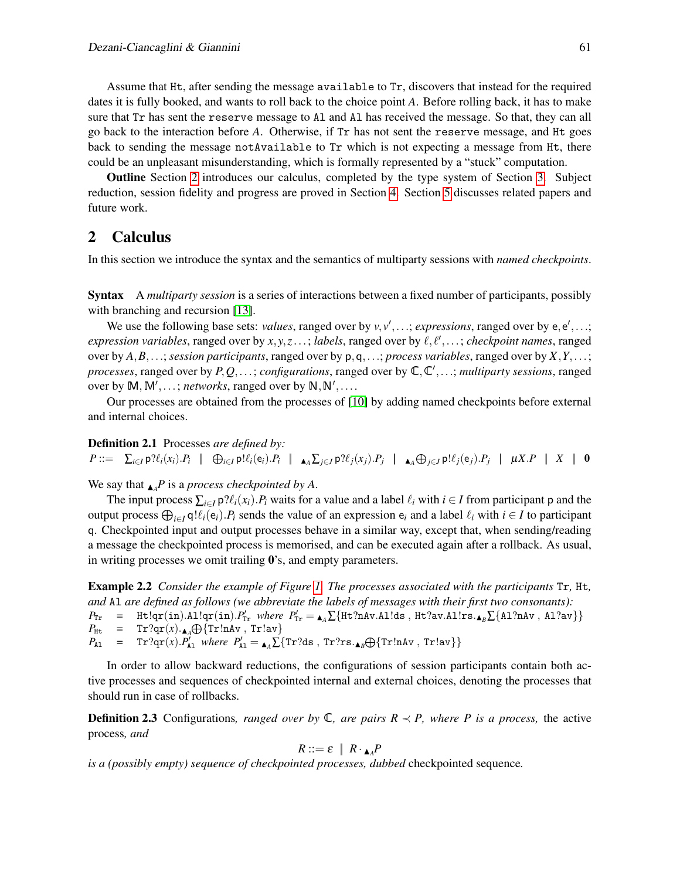Assume that Ht, after sending the message available to Tr, discovers that instead for the required dates it is fully booked, and wants to roll back to the choice point *A*. Before rolling back, it has to make sure that Tr has sent the reserve message to Al and Al has received the message. So that, they can all go back to the interaction before *A*. Otherwise, if Tr has not sent the reserve message, and Ht goes back to sending the message notAvailable to Tr which is not expecting a message from Ht, there could be an unpleasant misunderstanding, which is formally represented by a "stuck" computation.

Outline Section [2](#page-1-0) introduces our calculus, completed by the type system of Section [3.](#page-4-0) Subject reduction, session fidelity and progress are proved in Section [4.](#page-8-0) Section [5](#page-12-0) discusses related papers and future work.

### <span id="page-1-0"></span>2 Calculus

In this section we introduce the syntax and the semantics of multiparty sessions with *named checkpoints*.

Syntax A *multiparty session* is a series of interactions between a fixed number of participants, possibly with branching and recursion [\[13\]](#page-14-6).

We use the following base sets: *values*, ranged over by  $v, v', \ldots$ ; *expressions*, ranged over by  $e, e', \ldots$ ; *expression variables*, ranged over by  $x, y, z...$ ; *labels*, ranged over by  $\ell, \ell',...$ ; *checkpoint names*, ranged over by *A*,*B*,...; *session participants*, ranged over by p,q,...; *process variables*, ranged over by *X*,*Y*,...; *processes*, ranged over by  $P, Q, \ldots$ ; *configurations*, ranged over by  $\mathbb{C}, \mathbb{C}', \ldots$ ; *multiparty sessions*, ranged over by  $M, M', \ldots$ ; *networks*, ranged over by  $N, N', \ldots$ .

Our processes are obtained from the processes of [\[10\]](#page-14-8) by adding named checkpoints before external and internal choices.

Definition 2.1 Processes *are defined by:*  $P ::= \sum_{i \in I} \mathsf{p} \mathcal{H}_i(x_i).P_i \mid \bigoplus_{i \in I} \mathsf{p}! \ell_i(\mathsf{e}_i).P_i \mid \blacktriangle_{A} \sum_{j \in J} \mathsf{p} \mathcal{H}_j(x_j).P_j \mid \blacktriangle_{A} \bigoplus_{j \in J} \mathsf{p}! \ell_j(\mathsf{e}_j).P_j \mid \mu X.P \mid X \mid 0$ 

We say that  $\Lambda$ <sup>*P*</sup> is a *process checkpointed by A*.

The input process  $\sum_{i \in I} p \mathcal{P}(\ell_i(x_i) \cdot P_i)$  waits for a value and a label  $\ell_i$  with  $i \in I$  from participant p and the output process  $\bigoplus_{i\in I} q! \ell_i(e_i)$ .  $P_i$  sends the value of an expression  $e_i$  and a label  $\ell_i$  with  $i \in I$  to participant q. Checkpointed input and output processes behave in a similar way, except that, when sending/reading a message the checkpointed process is memorised, and can be executed again after a rollback. As usual, in writing processes we omit trailing 0's, and empty parameters.

<span id="page-1-1"></span>Example 2.2 *Consider the example of Figure [1.](#page-0-0) The processes associated with the participants* Tr*,* Ht*, and* Al *are defined as follows (we abbreviate the labels of messages with their first two consonants):*  $P_{\text{Tr}}$  = Ht!qr(in).Al!qr(in). $P'_{\text{Tr}}$  where  $P'_{\text{Tr}} = \mathbf{A} \sum \{ \text{Ht?nAv.A1!ds}$ , Ht?av.Al!rs. $\mathbf{A}_B \sum \{ \text{Al?nAv}$ , Al?av}  $P_{\text{Ht}}$  = Tr?qr(*x*).<sub>A</sub> $\bigoplus$ {Tr!nAv, Tr!av}  $P_{A1}$  = Tr?qr(*x*). $P'_{A1}$  where  $P'_{A1} = \bigwedge_{A} \sum \{ \text{Tr?ds}$ , Tr?rs. $\bigwedge_{B} \bigoplus \{ \text{Tr}!nAv \}, \text{Tr}!av \}$ 

In order to allow backward reductions, the configurations of session participants contain both active processes and sequences of checkpointed internal and external choices, denoting the processes that should run in case of rollbacks.

**Definition 2.3** Configurations, ranged over by  $\mathbb{C}$ , are pairs  $R \prec P$ , where P is a process, the active process*, and*

$$
R ::= \varepsilon \mid R \cdot_{\blacktriangle_A} P
$$

*is a (possibly empty) sequence of checkpointed processes, dubbed* checkpointed sequence*.*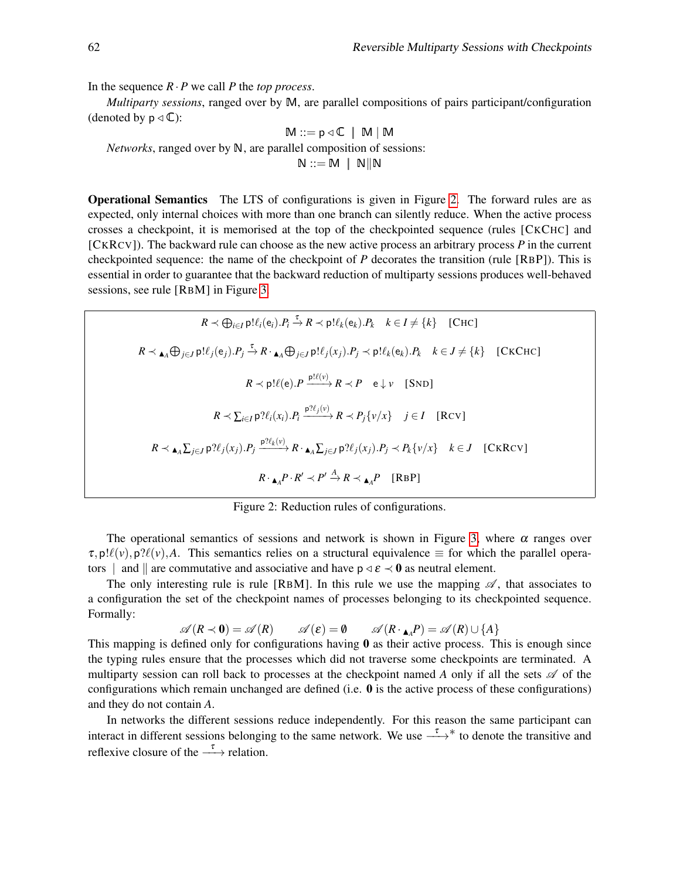In the sequence  $R \cdot P$  we call *P* the *top process*.

*Multiparty sessions*, ranged over by M, are parallel compositions of pairs participant/configuration (denoted by  $p \triangleleft \mathbb{C}$ ):

$$
M ::= p \triangleleft \mathbb{C} \mid M \mid M
$$
  
*Networks*, ranged over by N, are parallel composition of sessions:  
N ::= M | N||N

Operational Semantics The LTS of configurations is given in Figure [2.](#page-0-0) The forward rules are as expected, only internal choices with more than one branch can silently reduce. When the active process crosses a checkpoint, it is memorised at the top of the checkpointed sequence (rules [CKCHC] and [CKRCV]). The backward rule can choose as the new active process an arbitrary process *P* in the current checkpointed sequence: the name of the checkpoint of *P* decorates the transition (rule [RBP]). This is essential in order to guarantee that the backward reduction of multiparty sessions produces well-behaved sessions, see rule [RBM] in Figure [3.](#page-0-0)

$$
R \prec \bigoplus_{i \in I} \text{p}! \ell_i(\mathbf{e}_i).P_i \xrightarrow{\tau} R \prec \text{p}! \ell_k(\mathbf{e}_k).P_k \quad k \in I \neq \{k\} \quad \text{[CHC]}
$$
\n
$$
R \prec \mathbf{A}_A \bigoplus_{j \in J} \text{p}! \ell_j(\mathbf{e}_j).P_j \xrightarrow{\tau} R \cdot \mathbf{A}_A \bigoplus_{j \in J} \text{p}! \ell_j(x_j).P_j \prec \text{p}! \ell_k(\mathbf{e}_k).P_k \quad k \in J \neq \{k\} \quad \text{[CKCHC]}
$$
\n
$$
R \prec \text{p}! \ell(\mathbf{e}).P \xrightarrow{\text{p}! \ell(v)} R \prec P \quad \text{e} \downarrow v \quad \text{[SND]}
$$
\n
$$
R \prec \sum_{i \in I} \text{p}? \ell_i(x_i).P_i \xrightarrow{\text{p}? \ell_j(v)} R \prec P_j\{v/x\} \quad j \in I \quad \text{[RCV]}
$$
\n
$$
R \prec \mathbf{A}_A \sum_{j \in J} \text{p}? \ell_j(x_j).P_j \xrightarrow{\text{p}! \ell_k(v)} R \cdot \mathbf{A}_A \sum_{j \in J} \text{p}? \ell_j(x_j).P_j \prec P_k\{v/x\} \quad k \in J \quad \text{[CKRC]}
$$
\n
$$
R \cdot \mathbf{A}_A P \cdot R' \prec P' \xrightarrow{A} R \prec \mathbf{A}_A P \quad \text{[RBP]}
$$

Figure 2: Reduction rules of configurations.

The operational semantics of sessions and network is shown in Figure [3,](#page-0-0) where  $\alpha$  ranges over  $\tau$ , p! $\ell(\nu)$ , p? $\ell(\nu)$ , A. This semantics relies on a structural equivalence  $\equiv$  for which the parallel operators | and || are commutative and associative and have  $p \triangleleft \varepsilon \triangleleft 0$  as neutral element.

The only interesting rule is rule [RBM]. In this rule we use the mapping  $\mathscr A$ , that associates to a configuration the set of the checkpoint names of processes belonging to its checkpointed sequence. Formally:

$$
\mathscr{A}(R \prec \mathbf{0}) = \mathscr{A}(R) \qquad \mathscr{A}(\varepsilon) = \mathbf{0} \qquad \mathscr{A}(R \cdot_{\mathbf{A}_A} P) = \mathscr{A}(R) \cup \{A\}
$$

This mapping is defined only for configurations having  $\bf{0}$  as their active process. This is enough since the typing rules ensure that the processes which did not traverse some checkpoints are terminated. A multiparty session can roll back to processes at the checkpoint named  $A$  only if all the sets  $A$  of the configurations which remain unchanged are defined (i.e.  $\bf{0}$  is the active process of these configurations) and they do not contain *A*.

<span id="page-2-0"></span>In networks the different sessions reduce independently. For this reason the same participant can interact in different sessions belonging to the same network. We use  $\stackrel{\tau}{\longrightarrow}^*$  to denote the transitive and reflexive closure of the  $\stackrel{\tau}{\longrightarrow}$  relation.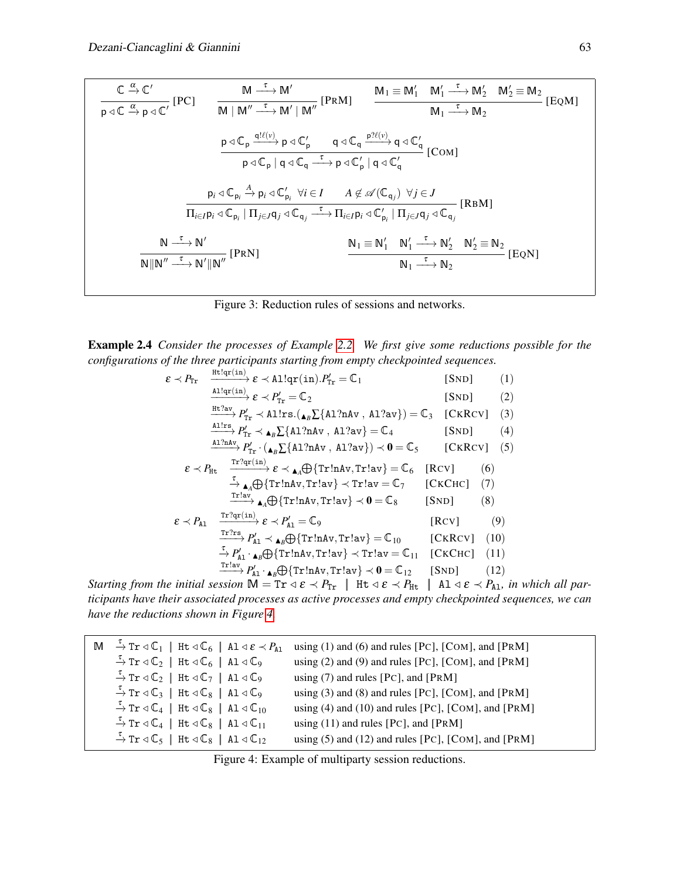$$
\frac{\mathbb{C} \xrightarrow{\alpha} \mathbb{C}'}{\mathsf{p} \triangleleft \mathbb{C} \xrightarrow{\alpha} \mathsf{p} \triangleleft \mathbb{C}'} \quad [\text{PC}] \qquad \frac{\mathsf{M} \xrightarrow{\tau} \mathsf{M}'}{\mathsf{M} \mid \mathsf{M}'' \xrightarrow{\tau} \mathsf{M}' \mid \mathsf{M}''} \quad [\text{PRM}] \qquad \frac{\mathsf{M}_1 \equiv \mathsf{M}_1' \quad \mathsf{M}_1' \xrightarrow{\tau} \mathsf{M}_2'}{\mathsf{M}_1 \xrightarrow{\tau} \mathsf{M}_2} \quad [\text{EQM}]
$$
\n
$$
\frac{\mathsf{p} \triangleleft \mathbb{C}_\mathsf{p} \xrightarrow{\mathsf{q}!(\mathsf{U})} \mathsf{p} \triangleleft \mathbb{C}_\mathsf{p}'}{\mathsf{p} \triangleleft \mathbb{C}_\mathsf{p} \mid \mathsf{q} \triangleleft \mathbb{C}_\mathsf{q} \xrightarrow{\tau} \mathsf{p} \triangleleft \mathbb{C}_\mathsf{p}'} \quad [\text{COM}]
$$
\n
$$
\frac{\mathsf{p}_i \triangleleft \mathsf{p}_i \triangleleft \mathsf{p}_i \triangleleft \mathsf{p}_i \triangleleft \mathsf{p}_i \triangleleft \mathsf{p}_i \triangleleft \mathsf{p}_i \triangleleft \mathsf{p}_i \triangleleft \mathsf{p}_i \triangleleft \mathsf{p}_i \triangleleft \mathsf{p}_i \triangleleft \mathsf{p}_i \triangleleft \mathsf{p}_i \triangleleft \mathsf{p}_i \triangleleft \mathsf{p}_i \triangleleft \mathsf{p}_i \triangleleft \mathsf{p}_i \triangleleft \mathsf{p}_i \triangleleft \mathsf{p}_i \triangleleft \mathsf{p}_i \triangleleft \mathsf{p}_i \triangleleft \mathsf{p}_i \triangleleft \mathsf{p}_i \triangleleft \mathsf{p}_i \triangleleft \mathsf{p}_i \triangleleft \mathsf{p}_i \triangleleft \mathsf{p}_i \triangleleft \mathsf{p}_i \triangleleft \mathsf{p}_i \triangleleft \mathsf{p}_i \triangleleft \mathsf{p}_i \triangleleft \mathsf{p}_i \triangleleft \mathsf{p}_i \triangleleft \mathsf{p}_i \triangleleft \mathsf{p}_i \triangleleft \mathsf{p}_i \triangleleft \mathsf{p}_i \triangleleft \mathsf{p}_i \triangleleft \mathsf{p}_i \triangle
$$

Figure 3: Reduction rules of sessions and networks.

Example 2.4 *Consider the processes of Example [2.2.](#page-1-1) We first give some reductions possible for the configurations of the three participants starting from empty checkpointed sequences.*

$$
\varepsilon \prec P_{\text{Tr}} \xrightarrow{\text{H}!q_{\text{F}}(\text{in})} \varepsilon \prec \text{All}q_{\text{F}}(\text{in}).P'_{\text{Tr}} = \mathbb{C}_{1} \qquad \text{[SND]} \qquad (1)
$$
\n
$$
\xrightarrow{\text{H}!q_{\text{F}}(\text{in})} \varepsilon \prec P'_{\text{Tr}} = \mathbb{C}_{2} \qquad \text{[SND]} \qquad (2)
$$
\n
$$
\xrightarrow{\text{H}!q_{\text{av}}} P'_{\text{Tr}} \prec \text{Allrs} \cdot (\mathbf{A}_{B} \Sigma \{\text{AI?nAv}, \text{Al?av}\}) = \mathbb{C}_{3} \qquad \text{[CKRCV]} \qquad (3)
$$
\n
$$
\xrightarrow{\text{All:ns}} P'_{\text{Tr}} \prec \mathbf{A}_{B} \Sigma \{\text{AI?nAv}, \text{Al?av}\} = \mathbb{C}_{4} \qquad \text{[SND]} \qquad (4)
$$
\n
$$
\xrightarrow{\text{Al?nAv}} P'_{\text{Tr}} \cdot (\mathbf{A}_{B} \Sigma \{\text{AI?nAv}, \text{Al?av}\}) \prec \mathbf{0} = \mathbb{C}_{5} \qquad \text{[CKRCV]} \qquad (5)
$$
\n
$$
\varepsilon \prec P_{\text{Ht}} \xrightarrow{\text{Tr}!q_{\text{F}}(\text{in})} \varepsilon \prec \mathbf{A}_{A} \bigopl\{\text{Tr}!n\text{Av}, \text{Tr}!a\} = \mathbb{C}_{7} \qquad \text{[CKCRC]} \qquad (6)
$$
\n
$$
\xrightarrow{\text{Tr}!a\text{v}} \mathbf{A}_{A} \bigopl\{\text{Tr}!n\text{Av}, \text{Tr}!a\} \prec \text{Tr}!a\text{v} = \mathbb{C}_{7} \qquad \text{[CKCHC]} \qquad (7)
$$
\n
$$
\xrightarrow{\text{Tr}!a\text{v}} \mathbf{A}_{A} \bigopl\{\text{Tr}!n\text{Av}, \text{Tr}!a\text{v} \}\prec \mathbf{0} = \mathbb{C}_{8} \qquad \text{[SND]} \qquad (8)
$$
\n
$$
\varepsilon \prec P_{\text{Al}} \xrightarrow{\text{Tr}!q_{\text{F}}
$$

*Starting from the initial session*  $M = Tr \, \alpha \, \epsilon \, \langle P_{Tr} | Ht \, \alpha \, \epsilon \, \langle P_{Ht} | A1 \, \alpha \, \epsilon \, \langle P_{A1} |$ *n which all participants have their associated processes as active processes and empty checkpointed sequences, we can have the reductions shown in Figure [4.](#page-0-0)*

| $\mathbb{M} \stackrel{\tau}{\rightarrow} \text{Tr} \triangleleft \mathbb{C}_1$   Ht $\triangleleft \mathbb{C}_6$   A1 $\triangleleft \varepsilon \prec P_{\text{Al}}$ | using $(1)$ and $(6)$ and rules [PC], [COM], and [PRM]  |
|-----------------------------------------------------------------------------------------------------------------------------------------------------------------------|---------------------------------------------------------|
| $\stackrel{\tau}{\rightarrow}$ Tr $\triangleleft \mathbb{C}_2$   Ht $\triangleleft \mathbb{C}_6$   Al $\triangleleft \mathbb{C}_9$                                    | using $(2)$ and $(9)$ and rules [PC], [COM], and [PRM]  |
| $\stackrel{\tau}{\rightarrow}$ Tr $\triangleleft \mathbb{C}_2$   Ht $\triangleleft \mathbb{C}_7$   Al $\triangleleft \mathbb{C}_9$                                    | using $(7)$ and rules [PC], and [PRM]                   |
| $\stackrel{\tau}{\rightarrow}$ Tr $\triangleleft \mathbb{C}_3$   Ht $\triangleleft \mathbb{C}_8$   Al $\triangleleft \mathbb{C}_9$                                    | using $(3)$ and $(8)$ and rules [PC], [COM], and [PRM]  |
| $\stackrel{\tau}{\rightarrow}$ Tr $\triangleleft$ $\mathbb{C}_4$   Ht $\triangleleft$ $\mathbb{C}_8$   A1 $\triangleleft$ $\mathbb{C}_{10}$                           | using $(4)$ and $(10)$ and rules [PC], [COM], and [PRM] |
| $\stackrel{\tau}{\rightarrow}$ Tr $\triangleleft$ $\mathbb{C}_{4}$   Ht $\triangleleft$ $\mathbb{C}_{8}$   A1 $\triangleleft$ $\mathbb{C}_{11}$                       | using $(11)$ and rules [PC], and [PRM]                  |
| $\stackrel{\tau}{\rightarrow}$ Tr $\triangleleft \mathbb{C}_5$   Ht $\triangleleft \mathbb{C}_8$   Al $\triangleleft \mathbb{C}_{12}$                                 | using $(5)$ and $(12)$ and rules [PC], [COM], and [PRM] |

Figure 4: Example of multiparty session reductions.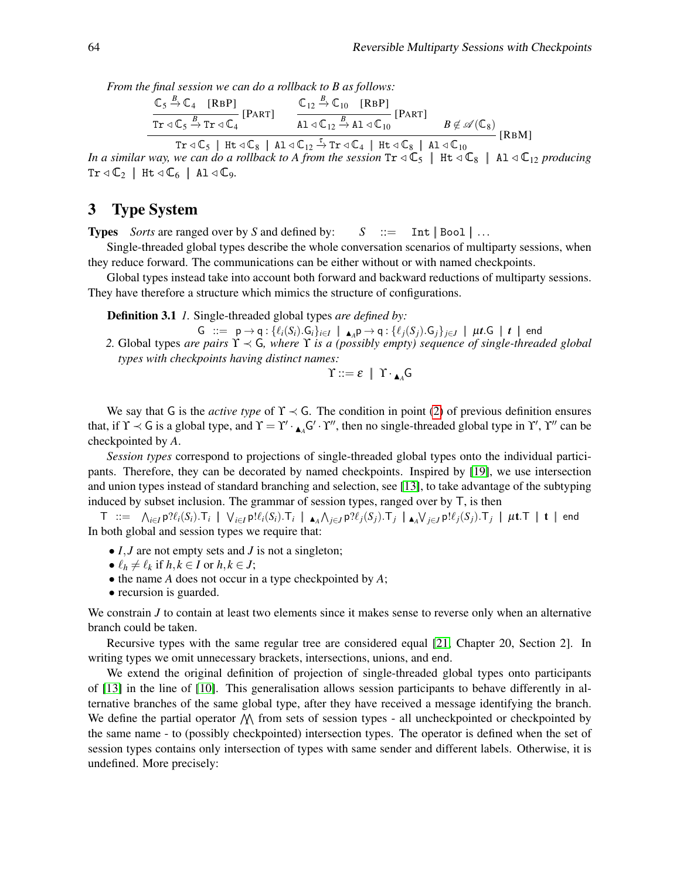*From the final session we can do a rollback to B as follows:*

$$
\frac{\mathbb{C}_{5} \stackrel{B}{\rightarrow} \mathbb{C}_{4} \quad [\text{RBP}]}{\text{Tr} \triangleleft \mathbb{C}_{5} \stackrel{B}{\rightarrow} \text{Tr} \triangleleft \mathbb{C}_{4}} [\text{PART}] \qquad \frac{\mathbb{C}_{12} \stackrel{B}{\rightarrow} \mathbb{C}_{10} \quad [\text{RBP}]}{\text{A1} \triangleleft \mathbb{C}_{12} \stackrel{B}{\rightarrow} \text{A1} \triangleleft \mathbb{C}_{10}} [\text{PART}] \qquad B \notin \mathscr{A}(\mathbb{C}_{8})
$$
\n[RBM]

 $\overline{\text{Tr} \triangleleft \text{\sf C}_5 \mid \text{Ht} \triangleleft \text{\sf C}_8 \mid \text{Al} \triangleleft \text{\sf C}_{12} \stackrel{\tau}{\rightarrow} \text{Tr} \triangleleft \text{\sf C}_4 \mid \text{Ht} \triangleleft \text{\sf C}_8 \mid \text{Al} \triangleleft \text{\sf C}_{10}}$  [RBM]

*In a similar way, we can do a rollback to A from the session*  $Tr \triangleleft \mathbb{C}_5$  | Ht  $\triangleleft \mathbb{C}_8$  | Al  $\triangleleft \mathbb{C}_{12}$  *producing*  $Tr \triangleleft \mathbb{C}_2$  | Ht  $\triangleleft \mathbb{C}_6$  | Al  $\triangleleft \mathbb{C}_9$ .

## <span id="page-4-0"></span>3 Type System

**Types** *Sorts* are ranged over by *S* and defined by:  $S := \text{Int} |\text{Bool}| \dots$ 

Single-threaded global types describe the whole conversation scenarios of multiparty sessions, when they reduce forward. The communications can be either without or with named checkpoints.

Global types instead take into account both forward and backward reductions of multiparty sessions. They have therefore a structure which mimics the structure of configurations.

<span id="page-4-2"></span>Definition 3.1 *1.* Single-threaded global types *are defined by:*

<span id="page-4-1"></span> $G := p \rightarrow q : \{\ell_i(S_i).G_i\}_{i \in I} \mid A_A p \rightarrow q : \{\ell_j(S_j).G_j\}_{j \in J} \mid \mu t.G \mid t \mid end$ *2.* Global types *are pairs* ϒ ≺ G*, where* ϒ *is a (possibly empty) sequence of single-threaded global types with checkpoints having distinct names:*

 $\Upsilon ::= \varepsilon \mid \Upsilon \cdot_{\blacktriangle_4} G$ 

We say that G is the *active type* of  $\Upsilon \prec G$ . The condition in point [\(2\)](#page-4-1) of previous definition ensures that, if  $\Upsilon \prec G$  is a global type, and  $\Upsilon = \Upsilon' \cdot \mathbf{A} G' \cdot \Upsilon''$ , then no single-threaded global type in  $\Upsilon'$ ,  $\Upsilon''$  can be checkpointed by *A*.

*Session types* correspond to projections of single-threaded global types onto the individual participants. Therefore, they can be decorated by named checkpoints. Inspired by [\[19\]](#page-14-11), we use intersection and union types instead of standard branching and selection, see [\[13\]](#page-14-6), to take advantage of the subtyping induced by subset inclusion. The grammar of session types, ranged over by T, is then

 $\mathsf{T}$  ::=  $\bigwedge_{i\in I} \mathsf{p}\mathcal{H}_i(S_i).\mathsf{T}_i\ \big|\ \vee_{i\in I} \mathsf{p}\mathcal{H}_i(S_i).\mathsf{T}_i\ \big|\ \blacktriangle_{A} \bigwedge_{j\in J} \mathsf{p}\mathcal{H}_j(S_j).\mathsf{T}_j\ \big|\ \blacktriangle_{A} \bigvee_{j\in J} \mathsf{p}\mathcal{H}_j(S_j).\mathsf{T}_j\ \big|\ \mu\mathsf{t}.\mathsf{T}\ \big|\ \mathsf{t}\ \big|\ \mathsf{end}$ In both global and session types we require that:

- *I*, *J* are not empty sets and *J* is not a singleton;
- $\ell_h \neq \ell_k$  if  $h, k \in I$  or  $h, k \in J$ ;
- the name *A* does not occur in a type checkpointed by *A*;
- recursion is guarded.

We constrain *J* to contain at least two elements since it makes sense to reverse only when an alternative branch could be taken.

Recursive types with the same regular tree are considered equal [\[21,](#page-14-12) Chapter 20, Section 2]. In writing types we omit unnecessary brackets, intersections, unions, and end.

We extend the original definition of projection of single-threaded global types onto participants of [\[13\]](#page-14-6) in the line of [\[10\]](#page-14-8). This generalisation allows session participants to behave differently in alternative branches of the same global type, after they have received a message identifying the branch. We define the partial operator  $\Lambda$  from sets of session types - all uncheckpointed or checkpointed by the same name - to (possibly checkpointed) intersection types. The operator is defined when the set of session types contains only intersection of types with same sender and different labels. Otherwise, it is undefined. More precisely: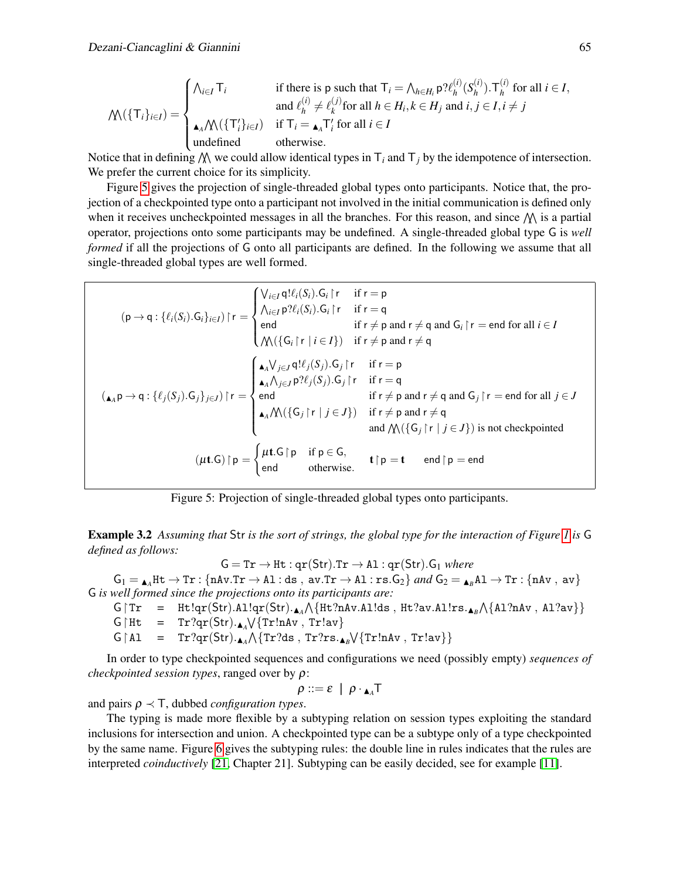$$
\mathcal{N}(\{\mathsf{T}_i\}_{i\in I}) = \begin{cases} \bigwedge_{i\in I} \mathsf{T}_i & \text{if there is } p \text{ such that } \mathsf{T}_i = \bigwedge_{h\in H_i} p \mathcal{H}_h^{(i)}(S_h^{(i)}) \cdot \mathsf{T}_h^{(i)} \text{ for all } i \in I, \\ & \text{and } \ell_h^{(i)} \neq \ell_k^{(j)} \text{ for all } h \in H_i, k \in H_j \text{ and } i, j \in I, i \neq j \\ \mathsf{A}_A \mathcal{N}(\{\mathsf{T}'_i\}_{i\in I}) & \text{if } \mathsf{T}_i = \mathsf{A}_A \mathsf{T}'_i \text{ for all } i \in I \\ & \text{undefined} & \text{otherwise.} \end{cases}
$$

Notice that in defining  $\mathcal{N}$  we could allow identical types in  $\mathsf{T}_i$  and  $\mathsf{T}_j$  by the idempotence of intersection. We prefer the current choice for its simplicity.

Figure [5](#page-0-0) gives the projection of single-threaded global types onto participants. Notice that, the projection of a checkpointed type onto a participant not involved in the initial communication is defined only when it receives uncheckpointed messages in all the branches. For this reason, and since  $\mathcal{N}$  is a partial operator, projections onto some participants may be undefined. A single-threaded global type G is *well formed* if all the projections of G onto all participants are defined. In the following we assume that all single-threaded global types are well formed.

$$
(p \rightarrow q : \{\ell_i(S_i).G_i\}_{i \in I}) \upharpoonright r = \begin{cases} \bigvee_{i \in I} q! \ell_i(S_i).G_i \upharpoonright r & \text{if } r = p \\ \bigwedge_{i \in I} p? \ell_i(S_i).G_i \upharpoonright r & \text{if } r = q \\ \text{end} & \text{if } r \neq p \text{ and } r \neq q \text{ and } G_i \upharpoonright r = \text{end for all } i \in I \\ \bigwedge (\{\bigcup_{A \in P} \{\ell_i(S_j).G_j\}_{i \in I}) \upharpoonright r = \begin{cases} \bigwedge_{A \in P} q! \ell_i(S_j).G_i \upharpoonright r & \text{if } r = p \\ \bigwedge_{A \in P} \{\ell_i(S_j).G_j \upharpoonright r & \text{if } r = p \\ \text{and } \bigwedge_{A \in P} p? \ell_i(S_j).G_j \upharpoonright r & \text{if } r = q \\ \text{end} & \text{if } r \neq p \text{ and } r \neq q \text{ and } G_j \upharpoonright r = \text{end for all } j \in J \\ \bigwedge (\{A \in P) \rightarrow q : \{\ell_i(S_j).G_j\}_{j \in J}\} \upharpoonright r = \begin{cases} \bigwedge_{A \in P} q! \ell_i(S_j).G_j \upharpoonright r & \text{if } r = q \\ \text{end} & \text{if } r \neq p \text{ and } r \neq q \\ \text{and } \bigwedge (\{\bigcup_{I} \{\Gamma \mid j \in J\} \text{) is not checked} \\ \bigwedge (\{\bigcup_{I} \{\Gamma \mid j \in J\} \text{) is not checked} \bigwedge (\{\bigcup_{I} \{\Gamma \mid j \in J\} \text{) is not checked} \bigwedge (\{\bigcup_{I} \{\Gamma \mid j \in J\} \text{) is not checked} \bigwedge (\{\bigcup_{I} \{\Gamma \mid j \in J\} \text{) is not checked} \bigwedge (\{\bigcup_{I} \{\Gamma \mid j \in J\} \text{) is not checked} \bigwedge (\{\bigcup_{I} \{\Gamma \mid j \in J\} \text{) is not checked} \bigwedge (\{\bigcup_{I} \{\Gamma \mid j \in J\} \text{) is not checked} \bigwedge (\{\bigcup_{I} \{\Gamma \mid j \in J\} \text{) is not checked} \bigwedge (\{\bigcup_{I} \{\
$$

Figure 5: Projection of single-threaded global types onto participants.

<span id="page-5-0"></span>Example 3.2 *Assuming that* Str *is the sort of strings, the global type for the interaction of Figure [1](#page-0-0) is* G *defined as follows:*

 $\mathsf{G} = \mathtt{Tr} \rightarrow \mathtt{Ht} : \mathtt{qr}(\mathsf{Str}).\mathtt{Tr} \rightarrow \mathtt{Al} : \mathtt{qr}(\mathsf{Str}).\mathtt{G}_1$  where

 $\mathsf{G}_1 = \mathsf{A}\!\!{}_{A}\text{Ht} \to \text{Tr}: \{\texttt{nAv}.\texttt{Tr} \to \texttt{Al}: \texttt{ds}\;,\; \texttt{av}.\texttt{Tr} \to \texttt{Al}: \texttt{rs}.\texttt{G}_2\} \textit{ and } \mathsf{G}_2 = \mathsf{A}\!\!{}_{B}\texttt{Al} \to \texttt{Tr}: \{\texttt{nAv}\;,\; \texttt{av}\}$ G *is well formed since the projections onto its participants are:*

$$
\text{G} \upharpoonright \text{Tr} \quad = \quad \text{Ht} \upharpoonright \text{qr}(\text{Str}).\text{Al} \upharpoonright \text{qr}(\text{Str}).\text{A} \wedge \{\text{Ht} ? \text{nAv} . \text{Al} ! \text{ds} \text{ , } \text{Ht} ? \text{av} . \text{Al} ! \text{rs} . \text{A}_{\text{B}} \wedge \{\text{Al} ? \text{nAv} \text{ , } \text{Al} ? \text{av} \}\}
$$

 $G \upharpoonright Ht = Tr?qr(Str)._{A} \sqrt{\{Tr!nAv}, Tr!av\}$ 

 $G \upharpoonright A1 = Tr?qr(Str). \Box_A \wedge \{Tr?ds, Tr?rs. \Box_B \vee \{TrlnAv, Trlav\}\}\$ 

In order to type checkpointed sequences and configurations we need (possibly empty) *sequences of checkpointed session types*, ranged over by ρ:

 $\rho ::= \varepsilon \mid \rho \cdot_{\blacktriangle_A} T$ 

and pairs  $\rho \prec \top$ , dubbed *configuration types*.

The typing is made more flexible by a subtyping relation on session types exploiting the standard inclusions for intersection and union. A checkpointed type can be a subtype only of a type checkpointed by the same name. Figure [6](#page-0-0) gives the subtyping rules: the double line in rules indicates that the rules are interpreted *coinductively* [\[21,](#page-14-12) Chapter 21]. Subtyping can be easily decided, see for example [\[11\]](#page-14-13).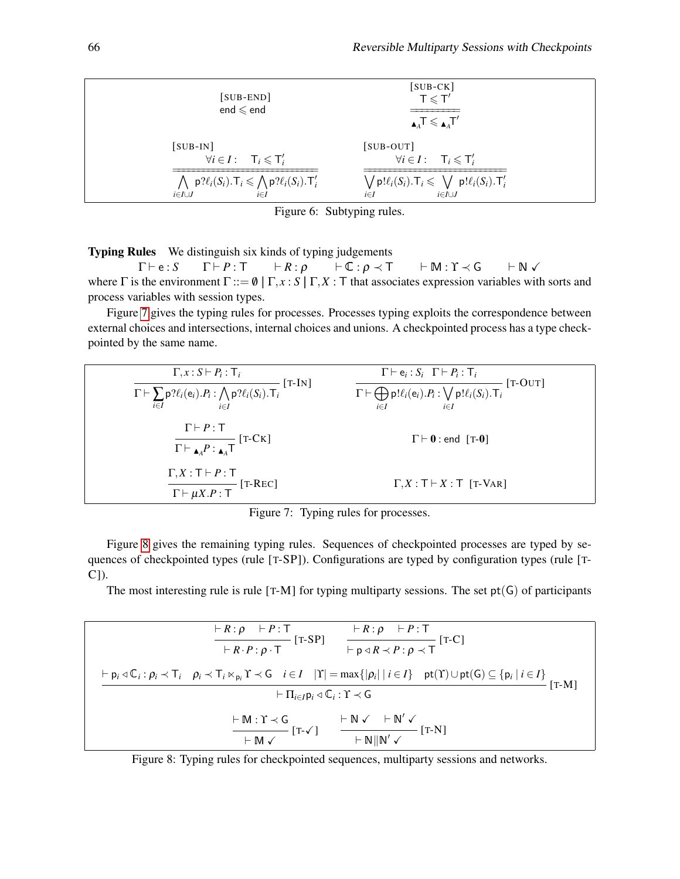| $[SUB-END]$<br>end $\leqslant$ end                                                                   | $[SUB-CK]$<br>$T \leqslant T'$<br>$\mathbf{A}_A$ T $\leqslant \mathbf{A}_A$ T'         |
|------------------------------------------------------------------------------------------------------|----------------------------------------------------------------------------------------|
| $[SUB-IN]$                                                                                           | $[SUB-OUT]$                                                                            |
| $\forall i \in I: \quad \mathsf{T}_i \leqslant \mathsf{T}'_i$                                        | $\forall i \in I: \quad \mathsf{T}_i \leqslant \mathsf{T}'_i$                          |
| $\bigwedge p? \ell_i(S_i) \cdot \mathsf{T}_i \leqslant \bigwedge p? \ell_i(S_i) \cdot \mathsf{T}'_i$ | $\bigvee p!\ell_i(S_i) . \mathsf{T}_i \leqslant \bigvee p!\ell_i(S_i) . \mathsf{T}'_i$ |
| $i \in I \cup J$                                                                                     | $i \in I$                                                                              |
| $i \in I$                                                                                            | $i \in I \cup J$                                                                       |

Figure 6: Subtyping rules.

Typing Rules We distinguish six kinds of typing judgements

 $\Gamma \vdash e : S$   $\Gamma \vdash P : T$   $\vdash R : \rho$   $\vdash \mathbb{C} : \rho \prec T$   $\vdash M : \Upsilon \prec G$   $\vdash N \vee$ where  $\Gamma$  is the environment  $\Gamma ::= \emptyset \mid \Gamma, x : S \mid \Gamma, X : T$  that associates expression variables with sorts and process variables with session types.

Figure [7](#page-0-0) gives the typing rules for processes. Processes typing exploits the correspondence between external choices and intersections, internal choices and unions. A checkpointed process has a type checkpointed by the same name.

| $\Gamma, x : S \vdash P_i : \mathsf{T}_i$<br>$[T-IN]$<br>$\Gamma \vdash \sum_{i \in I} \mathsf{p}\mathsf{?}\ell_i(\mathsf{e}_i).P_i : \bigwedge_{i \in I} \mathsf{p}\mathsf{?}\ell_i(S_i).T_i$ | $\Gamma\vdash e_i : S_i$ $\Gamma\vdash P_i : \mathsf{T}_i$<br>$[T-OUT]$<br>$\Gamma \vdash \bigoplus_{i \in I} \mathsf{p}!\ell_i(\mathsf{e}_i).P_i : \bigvee_{i \in I} \mathsf{p}!\ell_i(S_i).T_i$ |
|------------------------------------------------------------------------------------------------------------------------------------------------------------------------------------------------|---------------------------------------------------------------------------------------------------------------------------------------------------------------------------------------------------|
| $\Gamma \vdash P : \top$<br>$\Gamma\vdash_{\blacktriangle_{A}P:\blacktriangle_{A}\mathsf{T}}$ [T-CK]                                                                                           | $\Gamma \vdash 0$ : end [T-0]                                                                                                                                                                     |
| $\Gamma, X : \mathsf{T} \vdash P : \mathsf{T}$<br>$[T-REC]$<br>$\overline{\Gamma \vdash \mu X.P : \mathsf{T}}$                                                                                 | $\Gamma, X : \mathsf{T} \vdash X : \mathsf{T}$ [T-VAR]                                                                                                                                            |

Figure 7: Typing rules for processes.

Figure [8](#page-0-0) gives the remaining typing rules. Sequences of checkpointed processes are typed by sequences of checkpointed types (rule [T-SP]). Configurations are typed by configuration types (rule [T-C]).

The most interesting rule is rule  $[T-M]$  for typing multiparty sessions. The set  $pt(G)$  of participants

$$
\frac{\vdash R:\rho \quad \vdash P:T}{\vdash R\cdot P:\rho\cdot T}[\text{T-SP}] \quad \frac{\vdash R:\rho \quad \vdash P:T}{\vdash p\triangleleft R\prec P:\rho\prec T}[\text{T-C}] \n\vdash p_i\triangleleft \mathbb{C}_i:\rho_i\prec T_i \quad \rho_i\prec T_i\ltimes_{p_i} \text{T}\prec G \quad i\in I \quad |\text{T}|=\max\{|\rho_i|\mid i\in I\} \quad \text{pt}(\text{T})\cup\text{pt}(G)\subseteq \{p_i\mid i\in I\} \\\n\vdash \Pi_{i\in I}p_i\triangleleft \mathbb{C}_i:\text{T}\prec G \\\n\vdash M:\text{T}\prec G \quad \qquad \vdash N\lor \quad \vdash N'\lor \qquad \qquad \vdash N||N'\lor \qquad [\text{T-N}]
$$

Figure 8: Typing rules for checkpointed sequences, multiparty sessions and networks.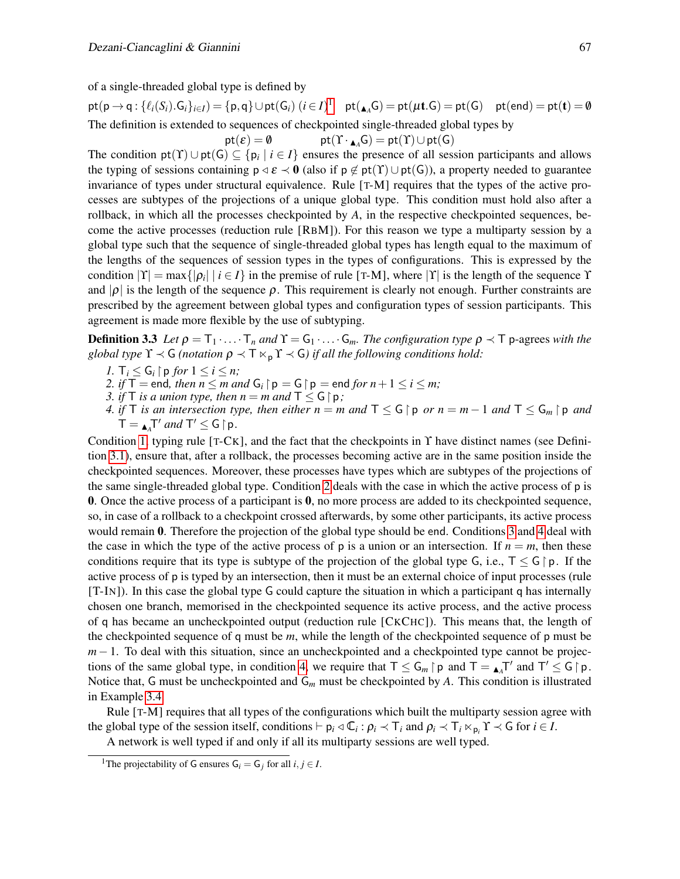of a single-threaded global type is defined by

 $\mathsf{pt}(\mathsf{p} \to \mathsf{q}: \{\ell_i(\mathit{S}_i).\mathsf{G}_i\}_{i \in I}) = \{\mathsf{p},\mathsf{q}\} \cup \mathsf{pt}(\mathsf{G}_i) \ (i \in I)^1 \quad \mathsf{pt}(\mathbf{A}_\mathsf{A}\mathsf{G}) = \mathsf{pt}(\mathsf{\mu t.G}) = \mathsf{pt}(\mathsf{G}) \quad \mathsf{pt}(\mathsf{end}) = \mathsf{pt}(\mathbf{t}) = \emptyset$  $\mathsf{pt}(\mathsf{p} \to \mathsf{q}: \{\ell_i(\mathit{S}_i).\mathsf{G}_i\}_{i \in I}) = \{\mathsf{p},\mathsf{q}\} \cup \mathsf{pt}(\mathsf{G}_i) \ (i \in I)^1 \quad \mathsf{pt}(\mathbf{A}_\mathsf{A}\mathsf{G}) = \mathsf{pt}(\mathsf{\mu t.G}) = \mathsf{pt}(\mathsf{G}) \quad \mathsf{pt}(\mathsf{end}) = \mathsf{pt}(\mathbf{t}) = \emptyset$  $\mathsf{pt}(\mathsf{p} \to \mathsf{q}: \{\ell_i(\mathit{S}_i).\mathsf{G}_i\}_{i \in I}) = \{\mathsf{p},\mathsf{q}\} \cup \mathsf{pt}(\mathsf{G}_i) \ (i \in I)^1 \quad \mathsf{pt}(\mathbf{A}_\mathsf{A}\mathsf{G}) = \mathsf{pt}(\mathsf{\mu t.G}) = \mathsf{pt}(\mathsf{G}) \quad \mathsf{pt}(\mathsf{end}) = \mathsf{pt}(\mathbf{t}) = \emptyset$ The definition is extended to sequences of checkpointed single-threaded global types by

<span id="page-7-6"></span> $pt(\mathcal{E}) = \emptyset$  pt $(T \cdot_{\blacktriangle_A} G) = pt(T) \cup pt(G)$ 

The condition  $pt(T) \cup pt(G) \subseteq \{p_i \mid i \in I\}$  ensures the presence of all session participants and allows the typing of sessions containing  $p \triangleleft \varepsilon \triangleleft 0$  (also if  $p \notin pt(T) \cup pt(G)$ ), a property needed to guarantee invariance of types under structural equivalence. Rule [T-M] requires that the types of the active processes are subtypes of the projections of a unique global type. This condition must hold also after a rollback, in which all the processes checkpointed by *A*, in the respective checkpointed sequences, become the active processes (reduction rule [RBM]). For this reason we type a multiparty session by a global type such that the sequence of single-threaded global types has length equal to the maximum of the lengths of the sequences of session types in the types of configurations. This is expressed by the condition  $|Y| = \max\{|\rho_i| \mid i \in I\}$  in the premise of rule [T-M], where  $|Y|$  is the length of the sequence Y and  $|\rho|$  is the length of the sequence  $\rho$ . This requirement is clearly not enough. Further constraints are prescribed by the agreement between global types and configuration types of session participants. This agreement is made more flexible by the use of subtyping.

**Definition 3.3** *Let*  $\rho = T_1 \cdot ... \cdot T_n$  *and*  $\Upsilon = G_1 \cdot ... \cdot G_m$ *. The configuration type*  $\rho \prec T$  p-agrees *with the global type*  $\Upsilon \prec G$  *(notation*  $\rho \prec \top \Join_{p} \Upsilon \prec G$ *) if all the following conditions hold:* 

- <span id="page-7-1"></span>*1.*  $\mathsf{T}_i \leq \mathsf{G}_i \upharpoonright \mathsf{p}$  *for*  $1 \leq i \leq n$ ;
- <span id="page-7-2"></span>2. *if*  $T =$  end, *then*  $n \le m$  *and*  $G_i \upharpoonright p = G \upharpoonright p =$  end *for*  $n + 1 \le i \le m$ ;
- <span id="page-7-3"></span>*3. if*  $\top$  *is a union type, then*  $n = m$  *and*  $\top \leq G \upharpoonright p$ *;*
- <span id="page-7-4"></span>*4. if*  $\top$  *is an intersection type, then either*  $n = m$  *and*  $\top \le G \upharpoonright p$  *or*  $n = m - 1$  *and*  $\top \le G_m \upharpoonright p$  *and*  $T = \mathbf{A}^T$  *and*  $T' \le G \upharpoonright p$ .

Condition [1,](#page-7-1) typing rule [T-CK], and the fact that the checkpoints in ϒ have distinct names (see Definition [3.1\)](#page-4-2), ensure that, after a rollback, the processes becoming active are in the same position inside the checkpointed sequences. Moreover, these processes have types which are subtypes of the projections of the same single-threaded global type. Condition [2](#page-7-2) deals with the case in which the active process of p is **0.** Once the active process of a participant is  $\bf{0}$ , no more process are added to its checkpointed sequence, so, in case of a rollback to a checkpoint crossed afterwards, by some other participants, its active process would remain 0. Therefore the projection of the global type should be end. Conditions [3](#page-7-3) and [4](#page-7-4) deal with the case in which the type of the active process of p is a union or an intersection. If  $n = m$ , then these conditions require that its type is subtype of the projection of the global type G, i.e.,  $T \leq G \, \mid p$ . If the active process of p is typed by an intersection, then it must be an external choice of input processes (rule [T-IN]). In this case the global type G could capture the situation in which a participant q has internally chosen one branch, memorised in the checkpointed sequence its active process, and the active process of q has became an uncheckpointed output (reduction rule [CKCHC]). This means that, the length of the checkpointed sequence of q must be *m*, while the length of the checkpointed sequence of p must be *m* − 1. To deal with this situation, since an uncheckpointed and a checkpointed type cannot be projec-tions of the same global type, in condition [4,](#page-7-4) we require that  $T \leq G_m \upharpoonright p$  and  $T = \mathbf{A}^T$  and  $T' \leq G \upharpoonright p$ . Notice that, G must be uncheckpointed and G*<sup>m</sup>* must be checkpointed by *A*. This condition is illustrated in Example [3.4.](#page-7-5)

Rule [T-M] requires that all types of the configurations which built the multiparty session agree with the global type of the session itself, conditions  $\vdash p_i \triangleleft \mathbb{C}_i : \rho_i \prec \top_i$  and  $\rho_i \prec \top_i \ltimes_{p_i} \Upsilon \prec \mathsf{G}$  for  $i \in I$ .

A network is well typed if and only if all its multiparty sessions are well typed.

<span id="page-7-5"></span><span id="page-7-0"></span><sup>&</sup>lt;sup>1</sup>The projectability of G ensures  $G_i = G_j$  for all  $i, j \in I$ .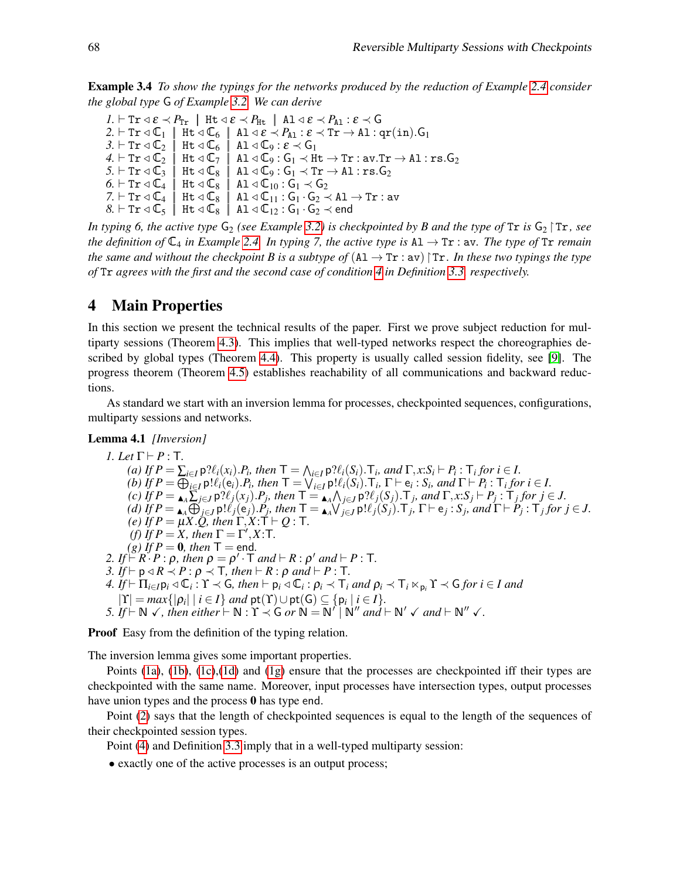Example 3.4 *To show the typings for the networks produced by the reduction of Example [2.4](#page-2-0) consider the global type* G *of Example [3.2.](#page-5-0) We can derive*

 $I. \vdash$  Tr  $\triangleleft \varepsilon \prec P_{\text{Tr}}$  | Ht  $\triangleleft \varepsilon \prec P_{\text{Ht}}$  | Al  $\triangleleft \varepsilon \prec P_{\text{A1}}$  :  $\varepsilon \prec$  G  $2. \vdash$  Tr  $\triangleleft \mathbb{C}_1$  |  $\overline{\text{Ht}} \triangleleft \mathbb{C}_6$  | Al  $\triangleleft \mathcal{E} \prec P_{\text{A1}} : \mathcal{E} \prec \overline{\text{Tr}} \rightarrow \text{A1} : \text{qr(in)}.$  G<sub>1</sub>  $3. \vdash$  Tr  $\triangleleft \mathbb{C}_2$  | Ht  $\triangleleft \mathbb{C}_6$  | Al  $\triangleleft \mathbb{C}_9$  :  $\mathcal{E} \prec \mathsf{G}_1$  $\mathcal{A}. \vdash \texttt{Tr} \triangleleft \mathbb{C}_2 \; \mid \; \texttt{Ht} \triangleleft \mathbb{C}_7 \; \mid \; \texttt{A1} \triangleleft \mathbb{C}_9 : \texttt{G}_1 \prec \texttt{Ht} \rightarrow \texttt{Tr} : \texttt{av}.\texttt{Tr} \rightarrow \texttt{A1} : \texttt{rs}. \texttt{G}_2$  $5. \vdash$  Tr  $\triangleleft \mathbb{C}_3$  | Ht  $\triangleleft \mathbb{C}_8$  | Al  $\triangleleft \mathbb{C}_9$  :  $\mathsf{G}_1 \prec$  Tr  $\rightarrow$  Al : rs.  $\mathsf{G}_2$  $6. \vdash$  Tr  $\triangleleft \mathbb{C}_4$  | Ht  $\triangleleft \mathbb{C}_8$  | Al  $\triangleleft \mathbb{C}_{10}$  :  $\mathbb{G}_1 \prec \mathbb{G}_2$  $7. \vdash$  Tr  $\triangleleft \mathbb{C}_4 \; | \;$  Ht  $\triangleleft \mathbb{C}_8 \; | \;$  Al  $\triangleleft \mathbb{C}_{11}$  :  $\mathsf{G}_1 \cdot \mathsf{G}_2 \prec$  Al  $\rightarrow$  Tr : av  $8. \vdash$  Tr  $\triangleleft \mathbb{C}_5$  | Ht  $\triangleleft \mathbb{C}_8$  | Al  $\triangleleft \mathbb{C}_{12}$  :  $\mathbb{G}_1 \cdot \mathbb{G}_2 \prec$  end

*In typing 6, the active type*  $G_2$  *(see Example [3.2\)](#page-5-0) is checkpointed by B and the type of* Tr *is*  $G_2$   $\uparrow$  Tr, *see the definition of*  $\mathbb{C}_4$  *in Example* [2.4.](#page-2-0) *In typing* 7, *the active type is*  $\mathbf{A1} \rightarrow \mathbf{Tr}$  : av. *The type of*  $\mathbf{Tr}$  *remain the same and without the checkpoint B is a subtype of*  $(A1 \rightarrow Tr : av)$   $Tr$ *. In these two typings the type of* Tr *agrees with the first and the second case of condition [4](#page-7-4) in Definition [3.3,](#page-7-6) respectively.*

### <span id="page-8-0"></span>4 Main Properties

In this section we present the technical results of the paper. First we prove subject reduction for multiparty sessions (Theorem [4.3\)](#page-9-0). This implies that well-typed networks respect the choreographies described by global types (Theorem [4.4\)](#page-11-0). This property is usually called session fidelity, see [\[9\]](#page-14-14). The progress theorem (Theorem [4.5\)](#page-12-1) establishes reachability of all communications and backward reductions.

As standard we start with an inversion lemma for processes, checkpointed sequences, configurations, multiparty sessions and networks.

#### <span id="page-8-8"></span>Lemma 4.1 *[Inversion]*

<span id="page-8-5"></span><span id="page-8-4"></span><span id="page-8-3"></span><span id="page-8-2"></span><span id="page-8-1"></span>*1. Let*  $\Gamma \vdash P : T$ . (a) If  $P = \sum_{i \in I} p \mathcal{H}_i(x_i) P_i$ , then  $\mathsf{T} = \bigwedge_{i \in I} p \mathcal{H}_i(S_i)$ .  $\mathsf{T}_i$ , and  $\Gamma, x : S_i \vdash P_i : \mathsf{T}_i$  for  $i \in I$ . (b) If  $P = \bigoplus_{i \in I} \mathsf{p}! \ell_i(\mathsf{e}_i) \cdot P_i$ , then  $\mathsf{T} = \bigvee_{i \in I} \mathsf{p}! \ell_i(S_i) \cdot \mathsf{T}_i$ ,  $\Gamma \vdash \mathsf{e}_i : S_i$ , and  $\Gamma \vdash P_i : \mathsf{T}_i$  for  $i \in I$ . (c) If  $P = \bigcup_{A} \sum_{j \in J} p \mathcal{H}_j(x_j) P_j$ , then  $\mathsf{T} = \bigcup_{A} \bigwedge_{j \in J} p \mathcal{H}_j(S_j)$ .  $\mathsf{T}_j$ , and  $\Gamma, x : S_j \vdash P_j : \mathsf{T}_j$  for  $j \in J$ . (d) If  $P = \bigtriangleup_{A} \bigoplus_{j \in J} p! \ell_j(e_j) \cdot P_j$ , then  $\mathsf{T} = \bigtriangleup_{A} \bigvee_{j \in J} p! \ell_j(S_j) \cdot \mathsf{T}_j$ ,  $\Gamma \vdash e_j : S_j$ , and  $\Gamma \vdash P_j : \mathsf{T}_j$  for  $j \in J$ . *(e) If*  $P = \mu X \cdot Q$ , then  $\Gamma, X : \mathsf{T} \vdash Q : \mathsf{T}$ . *(f)* If  $P = X$ , then  $\Gamma = \Gamma'$ ,  $X : \mathsf{T}$ .  $(g)$  *If*  $P = 0$ *, then*  $T =$  end. 2. If  $\bigcap_{i=1}^{\infty} R_i \cdot P$  :  $\rho$ , then  $\rho = \rho' \cdot T$  and  $\vdash R : \rho'$  and  $\vdash P : T$ . *3. If*  $\vdash$   $p \triangleleft R \angle P : \rho \triangleleft T$ *, then*  $\vdash$  *R* :  $\rho$  *and*  $\vdash$  *P* : T*.*  $4.$   $\hat{I}f \vdash \Pi_{i \in I} \mathsf{p}_i \triangleleft \mathbb{C}_i$ :  $\Upsilon \prec \mathsf{G}$ , then  $\vdash \mathsf{p}_i \triangleleft \mathbb{C}_i : \mathsf{p}_i \prec \mathsf{T}_i$  and  $\mathsf{p}_i \prec \mathsf{T}_i \ltimes_{\mathsf{p}_i} \Upsilon \prec \mathsf{G}$  for  $i \in I$  and  $|\Upsilon| = max\{|\rho_i| \mid i \in I\}$  *and*  $\mathsf{pt}(\Upsilon) \cup \mathsf{pt}(\mathsf{G}) \subseteq \{\mathsf{p}_i \mid i \in I\}.$ *5. If*  $\vdash N \checkmark$ , *then either*  $\vdash N : Y \prec G$  *or*  $\overset{\sim}{N} = \overset{\sim}{N'} \mid N''$  *and*  $\vdash N' \prec and \vdash N'' \prec.$ 

<span id="page-8-9"></span><span id="page-8-7"></span><span id="page-8-6"></span>**Proof** Easy from the definition of the typing relation.

The inversion lemma gives some important properties.

Points [\(1a\)](#page-8-1), [\(1b\)](#page-8-2), [\(1c\)](#page-8-3),[\(1d\)](#page-8-4) and [\(1g\)](#page-8-5) ensure that the processes are checkpointed iff their types are checkpointed with the same name. Moreover, input processes have intersection types, output processes have union types and the process 0 has type end.

Point [\(2\)](#page-8-6) says that the length of checkpointed sequences is equal to the length of the sequences of their checkpointed session types.

Point [\(4\)](#page-8-7) and Definition [3.3](#page-7-6) imply that in a well-typed multiparty session:

• exactly one of the active processes is an output process;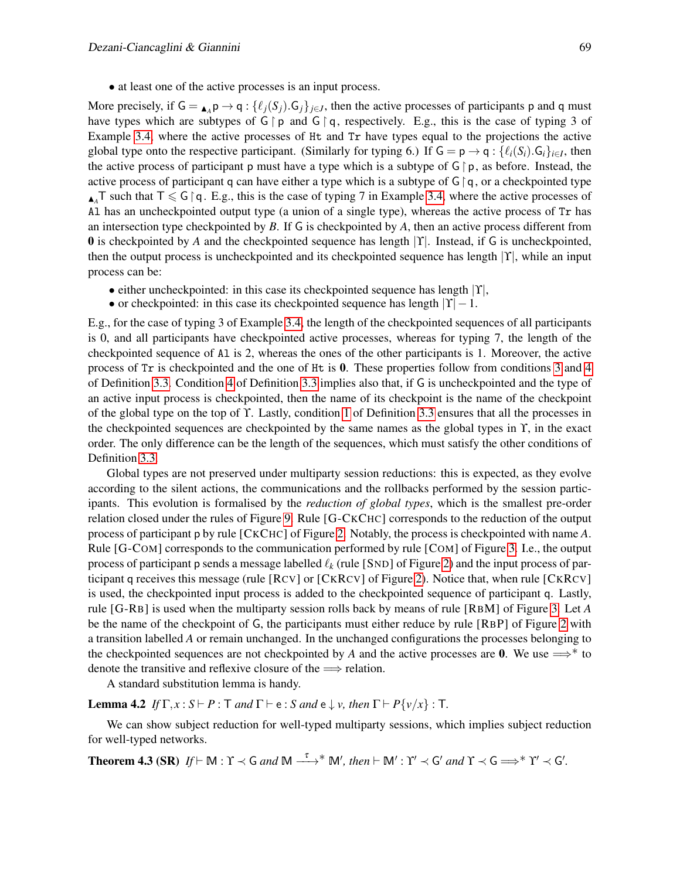• at least one of the active processes is an input process.

More precisely, if  $G = \bigcup_{A \in A} p \to q : \{ \ell_j(S_j) . G_j \}_{j \in J}$ , then the active processes of participants p and q must have types which are subtypes of  $G \restriction p$  and  $G \restriction q$ , respectively. E.g., this is the case of typing 3 of Example [3.4,](#page-7-5) where the active processes of Ht and Tr have types equal to the projections the active global type onto the respective participant. (Similarly for typing 6.) If  $G = p \rightarrow q : \{ \ell_i(S_i) . G_i \}_{i \in I}$ , then the active process of participant p must have a type which is a subtype of  $G \restriction p$ , as before. Instead, the active process of participant q can have either a type which is a subtype of  $\mathsf{G}\upharpoonright\mathsf{q}$ , or a checkpointed type  $\Lambda$ <sup>T</sup> such that  $\overline{\Lambda} \leq G \upharpoonright q$ . E.g., this is the case of typing 7 in Example [3.4,](#page-7-5) where the active processes of Al has an uncheckpointed output type (a union of a single type), whereas the active process of Tr has an intersection type checkpointed by *B*. If G is checkpointed by *A*, then an active process different from 0 is checkpointed by *A* and the checkpointed sequence has length |ϒ|. Instead, if G is uncheckpointed, then the output process is uncheckpointed and its checkpointed sequence has length |ϒ|, while an input process can be:

- either uncheckpointed: in this case its checkpointed sequence has length  $|Y|$ ,
- or checkpointed: in this case its checkpointed sequence has length  $|Y| 1$ .

E.g., for the case of typing 3 of Example [3.4,](#page-7-5) the length of the checkpointed sequences of all participants is 0, and all participants have checkpointed active processes, whereas for typing 7, the length of the checkpointed sequence of Al is 2, whereas the ones of the other participants is 1. Moreover, the active process of Tr is checkpointed and the one of Ht is 0. These properties follow from conditions [3](#page-7-3) and [4](#page-7-4) of Definition [3.3.](#page-7-6) Condition [4](#page-7-4) of Definition [3.3](#page-7-6) implies also that, if G is uncheckpointed and the type of an active input process is checkpointed, then the name of its checkpoint is the name of the checkpoint of the global type on the top of ϒ. Lastly, condition [1](#page-7-1) of Definition [3.3](#page-7-6) ensures that all the processes in the checkpointed sequences are checkpointed by the same names as the global types in ϒ, in the exact order. The only difference can be the length of the sequences, which must satisfy the other conditions of Definition [3.3.](#page-7-6)

Global types are not preserved under multiparty session reductions: this is expected, as they evolve according to the silent actions, the communications and the rollbacks performed by the session participants. This evolution is formalised by the *reduction of global types*, which is the smallest pre-order relation closed under the rules of Figure [9.](#page-0-0) Rule [G-CKCHC] corresponds to the reduction of the output process of participant p by rule [CKCHC] of Figure [2.](#page-0-0) Notably, the process is checkpointed with name *A*. Rule [G-COM] corresponds to the communication performed by rule [COM] of Figure [3.](#page-0-0) I.e., the output process of participant p sends a message labelled  $\ell_k$  (rule [SND] of Figure [2\)](#page-0-0) and the input process of participant q receives this message (rule [RCV] or [CKRCV] of Figure [2\)](#page-0-0). Notice that, when rule [CKRCV] is used, the checkpointed input process is added to the checkpointed sequence of participant q. Lastly, rule [G-RB] is used when the multiparty session rolls back by means of rule [RBM] of Figure [3.](#page-0-0) Let *A* be the name of the checkpoint of G, the participants must either reduce by rule [RBP] of Figure [2](#page-0-0) with a transition labelled *A* or remain unchanged. In the unchanged configurations the processes belonging to the checkpointed sequences are not checkpointed by *A* and the active processes are 0. We use  $\Longrightarrow^*$  to denote the transitive and reflexive closure of the  $\Longrightarrow$  relation.

<span id="page-9-0"></span>A standard substitution lemma is handy.

**Lemma 4.2** *If*  $\Gamma$ ,  $x : S \vdash P : T$  *and*  $\Gamma \vdash e : S$  *and*  $e \downarrow v$ *, then*  $\Gamma \vdash P\{v/x\} : T$ *.* 

We can show subject reduction for well-typed multiparty sessions, which implies subject reduction for well-typed networks.

**Theorem 4.3 (SR)**  $\; If \vdash \mathbb{M} : \Upsilon \prec \mathsf{G} \; and \; \mathbb{M} \stackrel{\tau}{\longrightarrow}^* \mathbb{M}'$ , then  $\vdash \mathbb{M}' : \Upsilon' \prec \mathsf{G}' \; and \; \Upsilon \prec \mathsf{G} \Longrightarrow^* \Upsilon' \prec \mathsf{G}'.$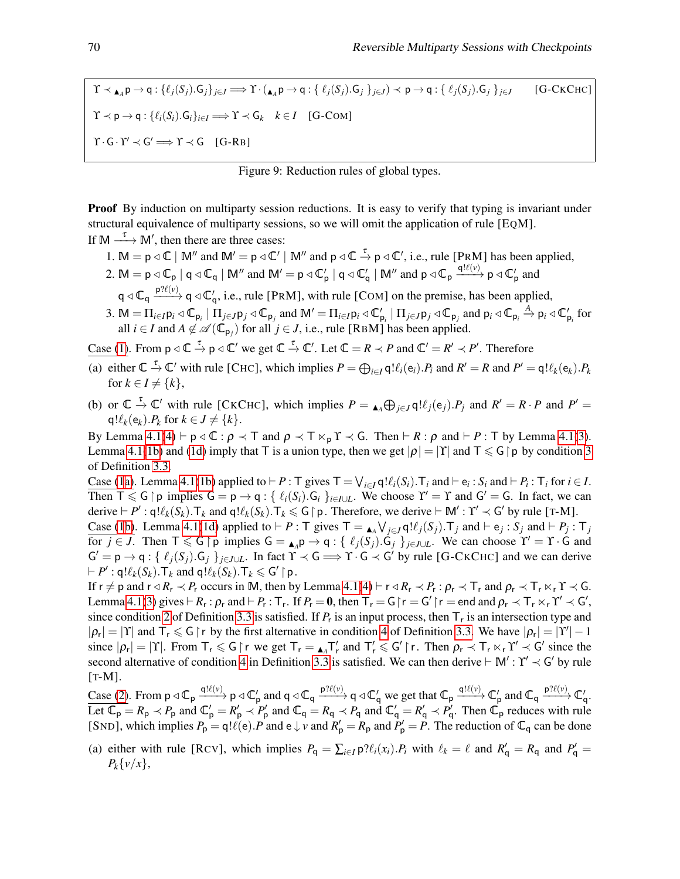$\Upsilon \prec_{\blacktriangle_A} \mathsf{p} \to \mathsf{q}: \{\ell_j(S_j). \mathsf{G}_j\}_{j \in J} \Longrightarrow \Upsilon \cdot (\mathsf{a}_A \mathsf{p} \to \mathsf{q}: \{\ell_j(S_j). \mathsf{G}_j\}_{j \in J}) \prec \mathsf{p} \to \mathsf{q}: \{\ell_j(S_j). \mathsf{G}_j\}_{j \in J}$  [G-CKCHC]  $\Upsilon \prec \mathsf{p} \rightarrow \mathsf{q}: \{\ell_i(S_i),\mathsf{G}_i\}_{i \in I} \Longrightarrow \Upsilon \prec \mathsf{G}_k \quad k \in I \quad [\text{G-COM}]$  $\Upsilon \cdot G \cdot \Upsilon' \prec G' \Longrightarrow \Upsilon \prec G$  [G-RB]



**Proof** By induction on multiparty session reductions. It is easy to verify that typing is invariant under structural equivalence of multiparty sessions, so we will omit the application of rule [EQM]. If  $M \xrightarrow{\tau} M'$ , then there are three cases:

- <span id="page-10-0"></span>1. M =  $p \triangleleft \mathbb{C}$  | M'' and M' =  $p \triangleleft \mathbb{C}'$  | M'' and  $p \triangleleft \mathbb{C} \stackrel{\tau}{\rightarrow} p \triangleleft \mathbb{C}'$ , i.e., rule [PRM] has been applied,
- <span id="page-10-3"></span>2. M = p  $\triangleleft \mathbb{C}_{p}$  | q  $\triangleleft \mathbb{C}_{q}$  | M'' and M' = p  $\triangleleft \mathbb{C}_{p}'$  | q  $\triangleleft \mathbb{C}_{q}'$  | M'' and p  $\triangleleft \mathbb{C}_{p}$   $\xrightarrow{q! \ell(\nu)}$  p  $\triangleleft \mathbb{C}_{p}'$  and  $q \triangleleft \mathbb{C}_q \xrightarrow{p? \ell(\nu)} q \triangleleft \mathbb{C}'_q$ , i.e., rule [PRM], with rule [COM] on the premise, has been applied,
- <span id="page-10-5"></span>3. M =  $\Pi_{i\in I}$  $p_i \triangleleft \mathbb{C}_{p_i}$  |  $\Pi_{j\in J}$  $p_j \triangleleft \mathbb{C}_{p_j}$  and  $\mathbb{M}' = \Pi_{i\in I}$  $p_i \triangleleft \mathbb{C}'_{p_i}$  |  $\Pi_{j\in J}$  $p_j \triangleleft \mathbb{C}_{p_j}$  and  $p_i \triangleleft \mathbb{C}_{p_i}$   $\stackrel{A}{\rightarrow}$   $p_i \triangleleft \mathbb{C}'_{p_i}$  for all *i*  $\in$  *I* and *A*  $\notin \mathcal{A}(\mathbb{C}_{p_j})$  for all *j*  $\in$  *J*, i.e., rule [RBM] has been applied.

Case [\(1\)](#page-10-0). From  $p \triangleleft \mathbb{C} \stackrel{\tau}{\rightarrow} p \triangleleft \mathbb{C}'$  we get  $\mathbb{C} \stackrel{\tau}{\rightarrow} \mathbb{C}'$ . Let  $\mathbb{C} = R \prec P$  and  $\mathbb{C}' = R' \prec P'$ . Therefore

- <span id="page-10-1"></span>(a) either  $\mathbb{C} \stackrel{\tau}{\to} \mathbb{C}'$  with rule [CHC], which implies  $P = \bigoplus_{i \in I} \mathsf{q}! \ell_i(\mathsf{e}_i) \cdot P_i$  and  $R' = R$  and  $P' = \mathsf{q}! \ell_k(\mathsf{e}_k) \cdot P_k$ for  $k \in I \neq \{k\},\$
- <span id="page-10-2"></span>(b) or  $\mathbb{C} \stackrel{\tau}{\to} \mathbb{C}'$  with rule [CKCHC], which implies  $P = \bigcup_{A} \bigoplus_{j \in J} q! \ell_j(e_j) P_j$  and  $R' = R \cdot P$  and  $P' =$  $q!\ell_k(e_k)$ .*P<sub>k</sub>* for  $k \in J \neq \{k\}$ .

By Lemma [4.1](#page-8-8)[\(4\)](#page-8-7)  $\vdash p \triangleleft \mathbb{C} : \rho \prec \top$  and  $\rho \prec \top \ltimes_p \Upsilon \prec \mathsf{G}$ . Then  $\vdash R : \rho$  and  $\vdash P : \top$  by Lemma 4.1[\(3\)](#page-8-9). Lemma [4.1](#page-8-8)[\(1b\)](#page-8-2) and [\(1d\)](#page-8-4) imply that T is a union type, then we get  $|\rho| = |\Upsilon|$  and  $\Upsilon \le G | p$  by condition [3](#page-7-3) of Definition [3.3.](#page-7-6)

Case [\(1](#page-10-0)[a\)](#page-10-1). Lemma [4.1\(](#page-8-8)[1b\)](#page-8-2) applied to  $\vdash P$ : T gives  $T = \bigvee_{i \in I} \mathsf{q}! \ell_i(S_i)$ . T<sub>*i*</sub> and  $\vdash e_i : S_i$  and  $\vdash P_i : T_i$  for  $i \in I$ . Then  $\overline{T} \leq G \upharpoonright p$  implies  $G = p \rightarrow q : \{ \ell_i(S_i) . G_i \}_{i \in I \cup L}$ . We choose  $\Upsilon' = \Upsilon$  and  $G' = G$ . In fact, we can derive  $\vdash P'$ : q! $\ell_k(S_k)$ .T<sub>k</sub> and q! $\ell_k(S_k)$ .T<sub>k</sub>  $\leq$  G | p. Therefore, we derive  $\vdash M'$ : Y'  $\prec$  G' by rule [T-M].

Case [\(1](#page-10-0)[b\)](#page-10-2). Lemma [4.1\(](#page-8-8)[1d\)](#page-8-4) applied to  $\vdash P$ : T gives  $\top = \Box_A \bigvee_{j \in J} q! \ell_j(S_j)$ .  $\top_j$  and  $\vdash e_j : S_j$  and  $\vdash P_j : \top_j$ for  $j \in J$ . Then  $\mathsf{T} \leqslant \mathsf{G} \restriction \mathsf{p}$  implies  $\mathsf{G} = \mathsf{A}_A \mathsf{p} \to \mathsf{q} : \{ \ell_j(S_j) . \mathsf{G}_j \}_{j \in J \cup L}$ . We can choose  $\Upsilon' = \Upsilon \cdot \mathsf{G}$  and  $G' = p \rightarrow q : \{ \ell_j(S_j) . G_j \}_{j \in J \cup L}$ . In fact  $\Upsilon \prec G \Longrightarrow \Upsilon \cdot G \prec G'$  by rule [G-CKCHC] and we can derive  $\vdash P'$ : q! $\ell_k(S_k)$ .  $\top_k$  and q! $\ell_k(S_k)$ .  $\top_k \leqslant G' \upharpoonright p$ .

If  $r \neq p$  and  $r \triangleleft R_r \prec P_r$  occurs in M, then by Lemma [4.1\(](#page-8-8)[4\)](#page-8-7)  $\vdash r \triangleleft R_r \prec P_r : \rho_r \prec \top_r$  and  $\rho_r \prec \top_r \ltimes_r \Upsilon \prec G$ . Lemma [4.1](#page-8-8)[\(3\)](#page-8-9) gives  $\vdash R_r : \rho_r$  and  $\vdash P_r : \top_r$ . If  $P_r = \mathbf{0}$ , then  $\top_r = G \upharpoonright r = G' \upharpoonright r =$  end and  $\rho_r \prec \top_r \ltimes_r \Upsilon' \prec G'$ , since condition [2](#page-7-2) of Definition [3.3](#page-7-6) is satisfied. If  $P_r$  is an input process, then  $T_r$  is an intersection type and  $|\rho_r| = |\Upsilon|$  and  $\Upsilon_r \leq \mathsf{G} \upharpoonright r$  by the first alternative in condition [4](#page-7-4) of Definition [3.3.](#page-7-6) We have  $|\rho_r| = |\Upsilon'| - 1$ since  $|\rho_r| = |\Upsilon|$ . From  $T_r \le G \upharpoonright r$  we get  $T_r = \Lambda_A T'_r$  and  $T'_r \le G' \upharpoonright r$ . Then  $\rho_r \prec T_r \ltimes_r \Upsilon' \prec G'$  since the second alternative of condition [4](#page-7-4) in Definition [3.3](#page-7-6) is satisfied. We can then derive  $\vdash M' : \Upsilon' \prec G'$  by rule [T-M].

Case [\(2\)](#page-10-3). From  $p \triangleleft \mathbb{C}_p \xrightarrow{q! \ell(\nu)} p \triangleleft \mathbb{C}'_p$  and  $q \triangleleft \mathbb{C}_q \xrightarrow{p? \ell(\nu)} q \triangleleft \mathbb{C}'_q$  we get that  $\mathbb{C}_p \xrightarrow{q! \ell(\nu)} \mathbb{C}'_p$  and  $\mathbb{C}_q \xrightarrow{p? \ell(\nu)} \mathbb{C}'_q$ . Let  $\overline{\mathbb{C}_{p}} = R_{p} \prec P_{p}$  and  $\mathbb{C}'_{p} = R'_{p} \prec P'_{p}$  and  $\mathbb{C}_{q} = R_{q} \prec P_{q}$  and  $\mathbb{C}'_{q} = R'_{q} \prec P'_{q}$ . Then  $\mathbb{C}_{p}$  reduces with rule [SND], which implies  $P_p = q! \ell(e)$ . *P* and  $e \downarrow v$  and  $R'_p = R_p$  and  $P'_p = P$ . The reduction of  $\mathbb{C}_q$  can be done

<span id="page-10-4"></span>(a) either with rule [RCV], which implies  $P_q = \sum_{i \in I} p \mathcal{H}_i(x_i) \cdot P_i$  with  $\ell_k = \ell$  and  $R'_q = R_q$  and  $P'_q =$  $P_k\{v/x\},\$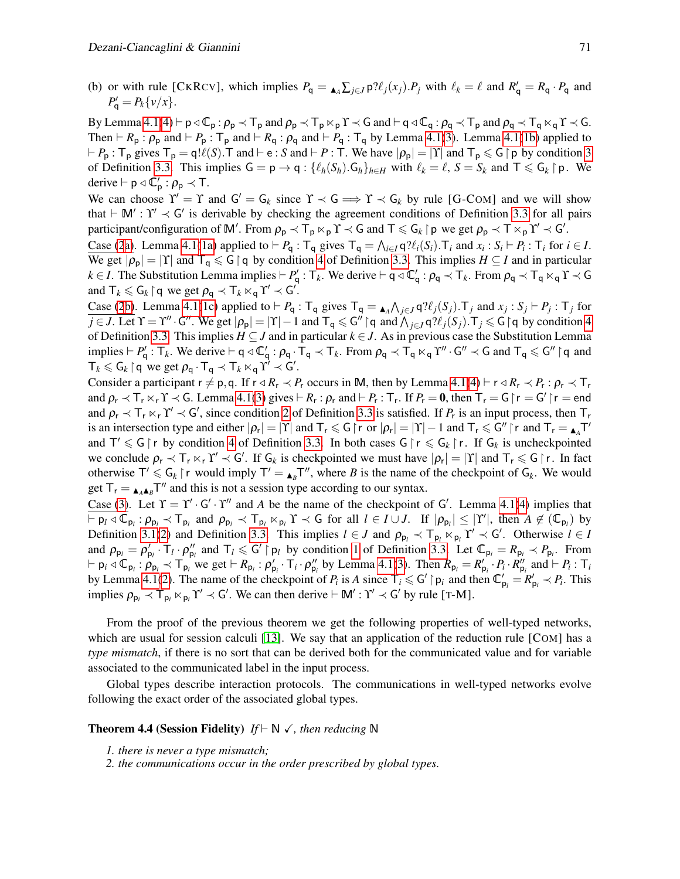<span id="page-11-1"></span>(b) or with rule [CKRCV], which implies  $P_q = \Delta_A \sum_{j \in J} p? \ell_j(x_j) P_j$  with  $\ell_k = \ell$  and  $R'_q = R_q \cdot P_q$  and  $P'_{\mathsf{q}} = P_k \{v/x\}.$ 

By Lemma [4.1](#page-8-8)[\(4\)](#page-8-7)  $\vdash p \triangleleft \mathbb{C}_p : \rho_p \prec \mathbb{T}_p$  and  $\rho_p \prec \mathbb{T}_p \ltimes_p \Upsilon \prec G$  and  $\vdash q \triangleleft \mathbb{C}_q : \rho_q \prec \mathbb{T}_p$  and  $\rho_q \prec \mathbb{T}_q \ltimes_q \Upsilon \prec G$ . Then  $\vdash R_p : \rho_p$  and  $\vdash P_p : \top_p$  and  $\vdash R_q : \rho_q$  and  $\vdash P_q : \top_q$  by Lemma [4.1](#page-8-8)[\(3\)](#page-8-9). Lemma 4.1[\(1b\)](#page-8-2) applied to  $P_P$ :  $T_p$  gives  $T_p = q! \ell(S)$ . T and  $\vdash e$ : *S* and  $\vdash P$ : T. We have  $|\rho_p| = |Y|$  and  $T_p \le G \upharpoonright p$  by condition [3](#page-7-3) of Definition [3.3.](#page-7-6) This implies  $G = p \rightarrow q : \{\ell_h(S_h) . G_h\}_{h \in H}$  with  $\ell_k = \ell, S = S_k$  and  $T \leq G_k \upharpoonright p$ . We derive  $\vdash p \triangleleft \mathbb{C}'_p : \rho_p \prec \top$ .

We can choose  $\Upsilon' = \Upsilon$  and  $G' = G_k$  since  $\Upsilon \prec G \implies \Upsilon \prec G_k$  by rule [G-COM] and we will show that  $\vdash M' : \Upsilon' \prec G'$  is derivable by checking the agreement conditions of Definition [3.3](#page-7-6) for all pairs participant/configuration of M'. From  $\rho_p \prec \mathsf{T}_p \ltimes_p \Upsilon \prec \mathsf{G}$  and  $\mathsf{T} \leq \mathsf{G}_k \upharpoonright p$  we get  $\rho_p \prec \mathsf{T} \ltimes_p \Upsilon' \prec \mathsf{G}'$ .

Case [\(2](#page-10-3)[a\)](#page-10-4). Lemma [4.1](#page-8-8)[\(1a\)](#page-8-1) applied to  $\vdash P_q : \top_q$  gives  $\top_q = \bigwedge_{i \in I} q \mathcal{P}(\ell_i(S_i) \cdot \top_i \text{ and } x_i : S_i \vdash P_i : \top_i \text{ for } i \in I$ . We get  $|\rho_p| = |Y|$  and  $T_q \le G \upharpoonright q$  by condition [4](#page-7-4) of Definition [3.3.](#page-7-6) This implies  $H \subseteq I$  and in particular  $k \in I$ . The Substitution Lemma implies  $\vdash P'_q : \top_k$ . We derive  $\vdash q \triangleleft \mathbb{C}'_q : \rho_q \prec \top_k$ . From  $\rho_q \prec \top_q \times_q \Upsilon \prec G$ and  $T_k \leqslant G_k \restriction q$  we get  $\rho_q \prec T_k \ltimes_q \Upsilon' \prec G'$ .

Case [\(2](#page-10-3)[b\)](#page-11-1). Lemma [4.1\(](#page-8-8)[1c\)](#page-8-3) applied to  $\vdash P_q$ :  $\top_q$  gives  $\top_q = \square_A \wedge_{j \in J} q \mathcal{H}_j(S_j)$ .  $\top_j$  and  $x_j : S_j \vdash P_j : \top_j$  for  $\overline{j \in J}$ . Let  $\Upsilon = \Upsilon'' \cdot G''$ . We get  $|\rho_p| = |\Upsilon| - 1$  and  $\overline{\Upsilon_q \leq G'' \mid q}$  and  $\overline{\bigwedge_{j \in J} q? \ell_j(S_j)}$ .  $\overline{\Upsilon_j \leq G \mid q}$  by condition [4](#page-7-4) of Definition [3.3.](#page-7-6) This implies  $H \subseteq J$  and in particular  $k \in J$ . As in previous case the Substitution Lemma implies  $\vdash P'_q : T_k$ . We derive  $\vdash q \triangleleft C'_q : \rho_q \cdot T_q \prec T_k$ . From  $\rho_q \prec T_q \ltimes_q Y'' \cdot G'' \prec G$  and  $T_q \leq G'' \upharpoonright q$  and  $T_k \leqslant G_k \restriction q$  we get  $\rho_q \cdot T_q \prec T_k \ltimes_q Y' \prec G'.$ 

Consider a participant  $r \neq p, q$ . If  $r \triangleleft R_r \lt P_r$  occurs in M, then by Lemma [4.1\(](#page-8-8)[4\)](#page-8-7)  $\vdash r \triangleleft R_r \lt P_r : \rho_r \lt T_r$ and  $\rho_r \prec \overline{\tau}_r \ltimes_r \Upsilon \prec \overline{G}$ . Lemma [4.1](#page-8-8)[\(3\)](#page-8-9) gives  $\vdash R_r : \rho_r$  and  $\vdash P_r : \overline{\tau}_r$ . If  $P_r = 0$ , then  $\overline{\tau}_r = G \upharpoonright r = G' \upharpoonright r =$  end and  $\rho_r \prec T_r \kappa_r Y' \prec G'$ , since condition [2](#page-7-2) of Definition [3.3](#page-7-6) is satisfied. If  $P_r$  is an input process, then  $T_r$ is an intersection type and either  $|\rho_r| = |\Upsilon|$  and  $\Upsilon_r \leq G \upharpoonright r$  or  $|\rho_r| = |\Upsilon| - 1$  and  $\Upsilon_r \leq G'' \upharpoonright r$  and  $\Upsilon_r = \triangleleft T'$ and  $T' \leq G \upharpoonright r$  by condition [4](#page-7-4) of Definition [3.3.](#page-7-6) In both cases  $G \upharpoonright r \leq G_k \upharpoonright r$ . If  $G_k$  is uncheckpointed we conclude  $\rho_r \prec \overline{T}_r \ltimes_r \Upsilon' \prec \overline{G}'$ . If  $G_k$  is checkpointed we must have  $|\rho_r| = |\Upsilon|$  and  $\overline{T}_r \leq \overline{G} \restriction r$ . In fact otherwise  $T' \leq G_k \upharpoonright r$  would imply  $T' = \mathbf{A} B T''$ , where *B* is the name of the checkpoint of  $G_k$ . We would get  $T_r = \triangle A A B} T''$  and this is not a session type according to our syntax.

Case [\(3\)](#page-10-5). Let  $\Upsilon = \Upsilon' \cdot G' \cdot \Upsilon''$  and *A* be the name of the checkpoint of G'. Lemma [4.1](#page-8-8)[\(4\)](#page-8-7) implies that  $\overline{\varphi}_{p_l} \circ \overline{\varphi}_{p_l} \circ \overline{\varphi}_{p_l} \circ \overline{\varphi}_{p_l}$  and  $\rho_{p_l} \circ \overline{\varphi}_{p_l} \circ \overline{\varphi}_{p_l} \circ \overline{\varphi}_{p_l}$  and  $\rho_{p_l} \circ \overline{\varphi}_{p_l} \circ \overline{\varphi}_{p_l} \circ \overline{\varphi}_{p_l} \circ \overline{\varphi}_{p_l} \circ \overline{\varphi}_{p_l} \circ \overline{\varphi}_{p_l} \circ \overline{\varphi}_{p_l} \circ \overline{\varphi}_{p_l} \circ \overline{\varphi}_{p_l} \circ \over$ Definition [3.1\(](#page-4-2)[2\)](#page-4-1) and Definition [3.3.](#page-7-6) This implies  $l \in J$  and  $\rho_{p_l} \prec \overline{T}_{p_l} \ltimes_{p_l} T' \prec G'$ . Otherwise  $l \in I$ and  $\rho_{p_l} = \rho'_{p_l} \cdot T_l \cdot \rho''_{p_l}$  and  $T_l \leqslant G' \upharpoonright p_l$  by condition [1](#page-7-1) of Definition [3.3.](#page-7-6) Let  $\mathbb{C}_{p_i} = R_{p_i} \prec P_{p_i}$ . From  $\vdash p_i \triangleleft \mathbb{C}_{p_i}$ :  $\rho_{p_i} \triangleleft \mathsf{T}_{p_i}$  we get  $\vdash R_{p_i}$ :  $\rho'_{p_i} \cdot \mathsf{T}_i \cdot \rho''_{p_i}$  by Lemma [4.1](#page-8-8)[\(3\)](#page-8-9). Then  $R_{p_i} = R'_{p_i} \cdot P_i \cdot R''_{p_i}$  and  $\vdash P_i$ :  $\mathsf{T}_i$ by Lemma [4.1](#page-8-8)[\(2\)](#page-8-6). The name of the checkpoint of  $P_i$  is A since  $T_i \le G' \mid p_i$  and then  $\mathbb{C}'_{p_i} = R'_{p_i} \prec P_i$ . This implies  $\rho_{p_i} \prec \mathsf{T}_{p_i} \ltimes_{p_i} \Upsilon' \prec \mathsf{G}'$ . We can then derive  $\vdash \mathbb{M}' : \Upsilon' \prec \mathsf{G}'$  by rule [T-M].

From the proof of the previous theorem we get the following properties of well-typed networks, which are usual for session calculi [\[13\]](#page-14-6). We say that an application of the reduction rule [COM] has a *type mismatch*, if there is no sort that can be derived both for the communicated value and for variable associated to the communicated label in the input process.

Global types describe interaction protocols. The communications in well-typed networks evolve following the exact order of the associated global types.

#### <span id="page-11-2"></span><span id="page-11-0"></span>**Theorem 4.4 (Session Fidelity)** *If*  $\vdash \mathbb{N} \checkmark$ , *then reducing*  $\mathbb{N}$

- *1. there is never a type mismatch;*
- <span id="page-11-3"></span>*2. the communications occur in the order prescribed by global types.*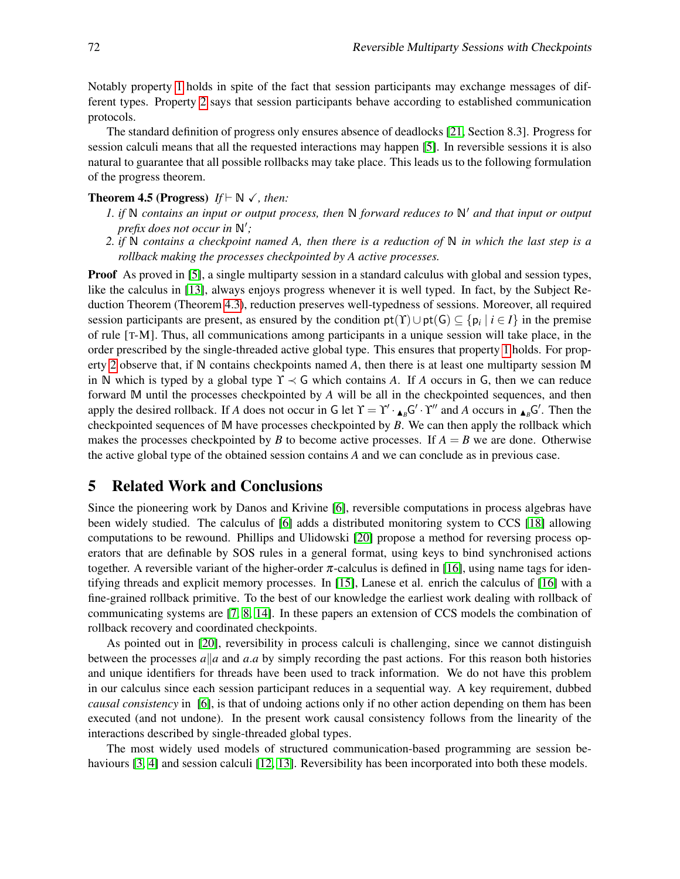Notably property [1](#page-11-2) holds in spite of the fact that session participants may exchange messages of different types. Property [2](#page-11-3) says that session participants behave according to established communication protocols.

The standard definition of progress only ensures absence of deadlocks [\[21,](#page-14-12) Section 8.3]. Progress for session calculi means that all the requested interactions may happen [\[5\]](#page-14-7). In reversible sessions it is also natural to guarantee that all possible rollbacks may take place. This leads us to the following formulation of the progress theorem.

### <span id="page-12-2"></span><span id="page-12-1"></span>**Theorem 4.5 (Progress)**  $If \vdash \mathbb{N} \checkmark$ , then:

- *1. if*  $\mathbb N$  *contains an input or output process, then*  $\mathbb N$  *forward reduces to*  $\mathbb N'$  *and that input or output prefix does not occur in*  $\mathbb{N}'$ *;*
- <span id="page-12-3"></span>*2. if* N *contains a checkpoint named A, then there is a reduction of* N *in which the last step is a rollback making the processes checkpointed by A active processes.*

**Proof** As proved in [\[5\]](#page-14-7), a single multiparty session in a standard calculus with global and session types, like the calculus in [\[13\]](#page-14-6), always enjoys progress whenever it is well typed. In fact, by the Subject Reduction Theorem (Theorem [4.3\)](#page-9-0), reduction preserves well-typedness of sessions. Moreover, all required session participants are present, as ensured by the condition  $pt(T) \cup pt(G) \subseteq {p_i \mid i \in I}$  in the premise of rule [T-M]. Thus, all communications among participants in a unique session will take place, in the order prescribed by the single-threaded active global type. This ensures that property [1](#page-12-2) holds. For property [2](#page-12-3) observe that, if N contains checkpoints named *A*, then there is at least one multiparty session M in N which is typed by a global type  $\Upsilon \prec G$  which contains A. If A occurs in G, then we can reduce forward M until the processes checkpointed by *A* will be all in the checkpointed sequences, and then apply the desired rollback. If *A* does not occur in G let  $\Upsilon = \Upsilon' \cdot \mathbf{A} \cdot B \cdot \Upsilon''$  and *A* occurs in  $\mathbf{A} \cdot B \cdot \mathbf{A} \cdot B$ . Then the checkpointed sequences of M have processes checkpointed by *B*. We can then apply the rollback which makes the processes checkpointed by *B* to become active processes. If  $A = B$  we are done. Otherwise the active global type of the obtained session contains *A* and we can conclude as in previous case.

### <span id="page-12-0"></span>5 Related Work and Conclusions

Since the pioneering work by Danos and Krivine [\[6\]](#page-14-1), reversible computations in process algebras have been widely studied. The calculus of [\[6\]](#page-14-1) adds a distributed monitoring system to CCS [\[18\]](#page-14-15) allowing computations to be rewound. Phillips and Ulidowski [\[20\]](#page-14-4) propose a method for reversing process operators that are definable by SOS rules in a general format, using keys to bind synchronised actions together. A reversible variant of the higher-order  $\pi$ -calculus is defined in [\[16\]](#page-14-3), using name tags for identifying threads and explicit memory processes. In [\[15\]](#page-14-2), Lanese et al. enrich the calculus of [\[16\]](#page-14-3) with a fine-grained rollback primitive. To the best of our knowledge the earliest work dealing with rollback of communicating systems are [\[7,](#page-14-16) [8,](#page-14-17) [14\]](#page-14-18). In these papers an extension of CCS models the combination of rollback recovery and coordinated checkpoints.

As pointed out in [\[20\]](#page-14-4), reversibility in process calculi is challenging, since we cannot distinguish between the processes  $a||a$  and  $a.a$  by simply recording the past actions. For this reason both histories and unique identifiers for threads have been used to track information. We do not have this problem in our calculus since each session participant reduces in a sequential way. A key requirement, dubbed *causal consistency* in [\[6\]](#page-14-1), is that of undoing actions only if no other action depending on them has been executed (and not undone). In the present work causal consistency follows from the linearity of the interactions described by single-threaded global types.

The most widely used models of structured communication-based programming are session be-haviours [\[3,](#page-14-19) [4\]](#page-14-20) and session calculi [\[12,](#page-14-5) [13\]](#page-14-6). Reversibility has been incorporated into both these models.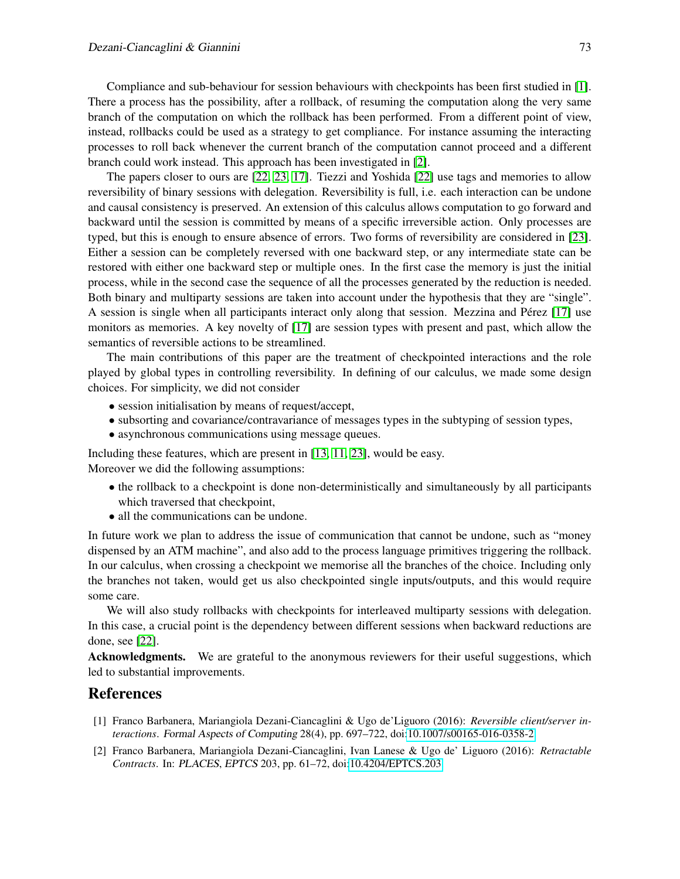Compliance and sub-behaviour for session behaviours with checkpoints has been first studied in [\[1\]](#page-13-1). There a process has the possibility, after a rollback, of resuming the computation along the very same branch of the computation on which the rollback has been performed. From a different point of view, instead, rollbacks could be used as a strategy to get compliance. For instance assuming the interacting processes to roll back whenever the current branch of the computation cannot proceed and a different branch could work instead. This approach has been investigated in [\[2\]](#page-13-0).

The papers closer to ours are [\[22,](#page-14-9) [23,](#page-14-10) [17\]](#page-14-21). Tiezzi and Yoshida [\[22\]](#page-14-9) use tags and memories to allow reversibility of binary sessions with delegation. Reversibility is full, i.e. each interaction can be undone and causal consistency is preserved. An extension of this calculus allows computation to go forward and backward until the session is committed by means of a specific irreversible action. Only processes are typed, but this is enough to ensure absence of errors. Two forms of reversibility are considered in [\[23\]](#page-14-10). Either a session can be completely reversed with one backward step, or any intermediate state can be restored with either one backward step or multiple ones. In the first case the memory is just the initial process, while in the second case the sequence of all the processes generated by the reduction is needed. Both binary and multiparty sessions are taken into account under the hypothesis that they are "single". A session is single when all participants interact only along that session. Mezzina and Pérez [\[17\]](#page-14-21) use monitors as memories. A key novelty of [\[17\]](#page-14-21) are session types with present and past, which allow the semantics of reversible actions to be streamlined.

The main contributions of this paper are the treatment of checkpointed interactions and the role played by global types in controlling reversibility. In defining of our calculus, we made some design choices. For simplicity, we did not consider

- session initialisation by means of request/accept,
- subsorting and covariance/contravariance of messages types in the subtyping of session types,
- asynchronous communications using message queues.

Including these features, which are present in [\[13,](#page-14-6) [11,](#page-14-13) [23\]](#page-14-10), would be easy. Moreover we did the following assumptions:

- the rollback to a checkpoint is done non-deterministically and simultaneously by all participants which traversed that checkpoint,
- all the communications can be undone.

In future work we plan to address the issue of communication that cannot be undone, such as "money dispensed by an ATM machine", and also add to the process language primitives triggering the rollback. In our calculus, when crossing a checkpoint we memorise all the branches of the choice. Including only the branches not taken, would get us also checkpointed single inputs/outputs, and this would require some care.

We will also study rollbacks with checkpoints for interleaved multiparty sessions with delegation. In this case, a crucial point is the dependency between different sessions when backward reductions are done, see [\[22\]](#page-14-9).

Acknowledgments. We are grateful to the anonymous reviewers for their useful suggestions, which led to substantial improvements.

### References

- <span id="page-13-1"></span>[1] Franco Barbanera, Mariangiola Dezani-Ciancaglini & Ugo de'Liguoro (2016): *Reversible client/server interactions*. Formal Aspects of Computing 28(4), pp. 697–722, doi[:10.1007/s00165-016-0358-2.](http://dx.doi.org/10.1007/s00165-016-0358-2)
- <span id="page-13-0"></span>[2] Franco Barbanera, Mariangiola Dezani-Ciancaglini, Ivan Lanese & Ugo de' Liguoro (2016): *Retractable Contracts*. In: PLACES, EPTCS 203, pp. 61–72, doi[:10.4204/EPTCS.203.](http://dx.doi.org/10.4204/EPTCS.203)